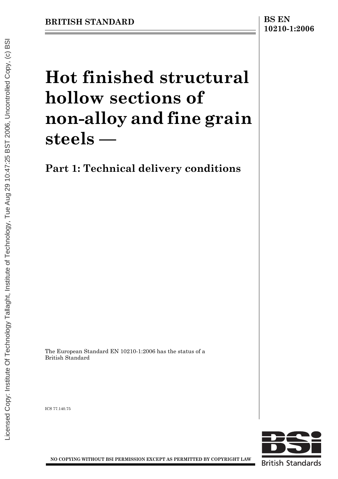# **10210-1:2006**

# **Hot finished structural hollow sections of non-alloy and fine grain steels —**

**Part 1: Technical delivery conditions**

The European Standard EN 10210-1:2006 has the status of a British Standard

ICS 77.140.75



NO COPYING WITHOUT BSI PERMISSION EXCEPT AS PERMITTED BY COPYRIGHT LAW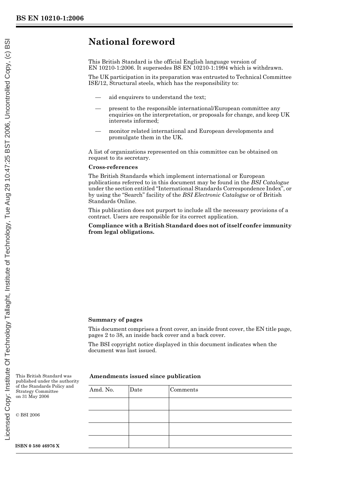### **National foreword**

This British Standard is the official English language version of EN 10210-1:2006. It supersedes BS EN 10210-1:1994 which is withdrawn.

The UK participation in its preparation was entrusted to Technical Committee ISE/12, Structural steels, which has the responsibility to:

- aid enquirers to understand the text;
- present to the responsible international/European committee any enquiries on the interpretation, or proposals for change, and keep UK interests informed;
- monitor related international and European developments and promulgate them in the UK.

A list of organizations represented on this committee can be obtained on request to its secretary.

### **Cross-references**

The British Standards which implement international or European publications referred to in this document may be found in the *BSI Catalogue* under the section entitled "International Standards Correspondence Index", or by using the "Search" facility of the *BSI Electronic Catalogue* or of British Standards Online.

This publication does not purport to include all the necessary provisions of a contract. Users are responsible for its correct application.

**Compliance with a British Standard does not of itself confer immunity from legal obligations.**

### **Summary of pages**

This document comprises a front cover, an inside front cover, the EN title page, pages 2 to 38, an inside back cover and a back cover.

The BSI copyright notice displayed in this document indicates when the document was last issued.

### **Amendments issued since publication**

| Amd. No. | Date | Comments |
|----------|------|----------|
|          |      |          |
|          |      |          |
|          |      |          |
|          |      |          |

This British Standard was published under the authority of the Standards Policy and Strategy Committee on 31 May 2006

**ISBN 0 580 46976 X**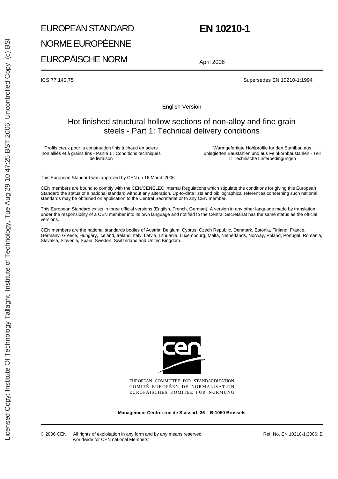# EUROPEAN STANDARD NORME EUROPÉENNE EUROPÄISCHE NORM

### **EN 10210-1**

April 2006

ICS 77.140.75 Supersedes EN 10210-1:1994

English Version

### Hot finished structural hollow sections of non-alloy and fine grain steels - Part 1: Technical delivery conditions

Profils creux pour la construction finis à chaud en aciers non alliés et à grains fins - Partie 1 : Conditions techniques de livraison

Warmgefertigte Hohlprofile für den Stahlbau aus unlegierten Baustählen und aus Feinkornbaustählen - Teil 1: Technische Lieferbedingungen

This European Standard was approved by CEN on 16 March 2006.

CEN members are bound to comply with the CEN/CENELEC Internal Regulations which stipulate the conditions for giving this European Standard the status of a national standard without any alteration. Up-to-date lists and bibliographical references concerning such national standards may be obtained on application to the Central Secretariat or to any CEN member.

This European Standard exists in three official versions (English, French, German). A version in any other language made by translation under the responsibility of a CEN member into its own language and notified to the Central Secretariat has the same status as the official versions.

CEN members are the national standards bodies of Austria, Belgium, Cyprus, Czech Republic, Denmark, Estonia, Finland, France, Germany, Greece, Hungary, Iceland, Ireland, Italy, Latvia, Lithuania, Luxembourg, Malta, Netherlands, Norway, Poland, Portugal, Romania, Slovakia, Slovenia, Spain, Sweden, Switzerland and United Kingdom.



EUROPEAN COMMITTEE FOR STANDARDIZATION COMITÉ EUROPÉEN DE NORMALISATION EUROPÄISCHES KOMITEE FÜR NORMUNG

**Management Centre: rue de Stassart, 36 B-1050 Brussels**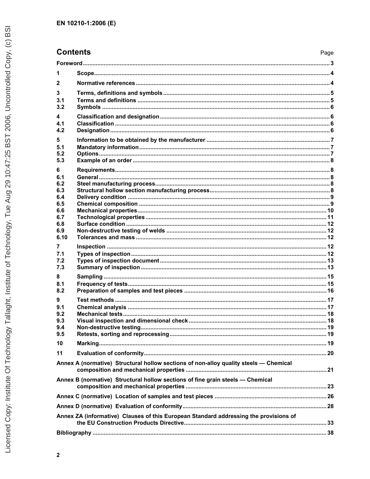| <b>Contents</b> |  |  |
|-----------------|--|--|
|-----------------|--|--|

| <b>Contents</b> |                                                                                       | Page |
|-----------------|---------------------------------------------------------------------------------------|------|
|                 |                                                                                       |      |
| 1               |                                                                                       |      |
| $\mathbf{2}$    |                                                                                       |      |
| $\mathbf{3}$    |                                                                                       |      |
| 3.1<br>3.2      |                                                                                       |      |
| 4               |                                                                                       |      |
| 4.1             |                                                                                       |      |
| 4.2             |                                                                                       |      |
| 5               |                                                                                       |      |
| 5.1<br>5.2      |                                                                                       |      |
| 5.3             |                                                                                       |      |
| 6               |                                                                                       |      |
| 6.1<br>6.2      |                                                                                       |      |
| 6.3             |                                                                                       |      |
| 6.4             |                                                                                       |      |
| 6.5<br>6.6      |                                                                                       |      |
| 6.7             |                                                                                       |      |
| 6.8<br>6.9      |                                                                                       |      |
| 6.10            |                                                                                       |      |
| 7               |                                                                                       |      |
| 7.1<br>7.2      |                                                                                       |      |
| 7.3             |                                                                                       |      |
| 8               |                                                                                       |      |
| 8.1             |                                                                                       |      |
| 8.2             |                                                                                       |      |
| 9<br>9.1        |                                                                                       |      |
| 9.2             |                                                                                       |      |
| 9.3<br>9.4      |                                                                                       |      |
| 9.5             |                                                                                       |      |
| 10              |                                                                                       |      |
| 11              |                                                                                       |      |
|                 | Annex A (normative) Structural hollow sections of non-alloy quality steels - Chemical |      |
|                 | Annex B (normative) Structural hollow sections of fine grain steels - Chemical        |      |
|                 |                                                                                       |      |
|                 |                                                                                       |      |
|                 | Annex ZA (informative) Clauses of this European Standard addressing the provisions of |      |
|                 |                                                                                       |      |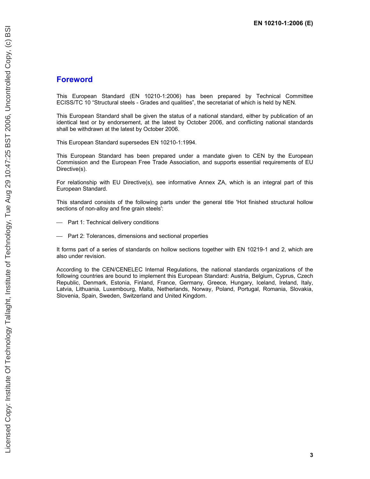### **Foreword**

This European Standard (EN 10210-1:2006) has been prepared by Technical Committee ECISS/TC 10 "Structural steels - Grades and qualities", the secretariat of which is held by NEN.

This European Standard shall be given the status of a national standard, either by publication of an identical text or by endorsement, at the latest by October 2006, and conflicting national standards shall be withdrawn at the latest by October 2006.

This European Standard supersedes EN 10210-1:1994.

This European Standard has been prepared under a mandate given to CEN by the European Commission and the European Free Trade Association, and supports essential requirements of EU Directive(s).

For relationship with EU Directive(s), see informative Annex ZA, which is an integral part of this European Standard.

This standard consists of the following parts under the general title 'Hot finished structural hollow sections of non-alloy and fine grain steels':

- Part 1: Technical delivery conditions
- Part 2: Tolerances, dimensions and sectional properties

It forms part of a series of standards on hollow sections together with EN 10219-1 and 2, which are also under revision.

According to the CEN/CENELEC Internal Regulations, the national standards organizations of the following countries are bound to implement this European Standard: Austria, Belgium, Cyprus, Czech Republic, Denmark, Estonia, Finland, France, Germany, Greece, Hungary, Iceland, Ireland, Italy, Latvia, Lithuania, Luxembourg, Malta, Netherlands, Norway, Poland, Portugal, Romania, Slovakia, Slovenia, Spain, Sweden, Switzerland and United Kingdom.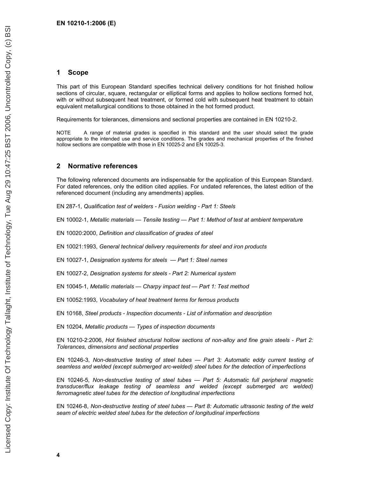### **1 Scope**

This part of this European Standard specifies technical delivery conditions for hot finished hollow sections of circular, square, rectangular or elliptical forms and applies to hollow sections formed hot, with or without subsequent heat treatment, or formed cold with subsequent heat treatment to obtain equivalent metallurgical conditions to those obtained in the hot formed product.

Requirements for tolerances, dimensions and sectional properties are contained in EN 10210-2.

NOTE A range of material grades is specified in this standard and the user should select the grade appropriate to the intended use and service conditions. The grades and mechanical properties of the finished hollow sections are compatible with those in EN 10025-2 and EN 10025-3.

### **2 Normative references**

The following referenced documents are indispensable for the application of this European Standard. For dated references, only the edition cited applies. For undated references, the latest edition of the referenced document (including any amendments) applies.

EN 287-1, *Qualification test of welders - Fusion welding - Part 1: Steels*

EN 10002-1, *Metallic materials — Tensile testing — Part 1: Method of test at ambient temperature*

EN 10020:2000, *Definition and classification of grades of steel*

EN 10021:1993, *General technical delivery requirements for steel and iron products* 

EN 10027-1, *Designation systems for steels — Part 1: Steel names*

EN 10027-2, *Designation systems for steels - Part 2: Numerical system* 

EN 10045-1, *Metallic materials — Charpy impact test — Part 1: Test method* 

EN 10052:1993, *Vocabulary of heat treatment terms for ferrous products*

EN 10168, *Steel products - Inspection documents - List of information and description*

EN 10204, *Metallic products — Types of inspection documents*

EN 10210-2:2006, *Hot finished structural hollow sections of non-alloy and fine grain steels - Part 2: Tolerances, dimensions and sectional properties*

EN 10246-3, *Non-destructive testing of steel tubes — Part 3: Automatic eddy current testing of seamless and welded (except submerged arc-welded) steel tubes for the detection of imperfections* 

EN 10246-5, *Non-destructive testing of steel tubes — Part 5: Automatic full peripheral magnetic transducer/flux leakage testing of seamless and welded (except submerged arc welded) ferromagnetic steel tubes for the detection of longitudinal imperfections*

EN 10246-8, *Non-destructive testing of steel tubes — Part 8: Automatic ultrasonic testing of the weld seam of electric welded steel tubes for the detection of longitudinal imperfections*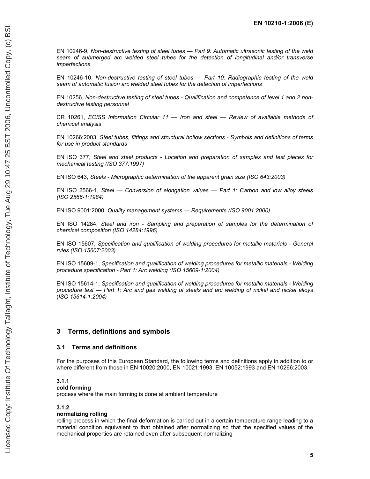EN 10246-9, *Non-destructive testing of steel tubes — Part 9: Automatic ultrasonic testing of the weld seam of submerged arc welded steel tubes for the detection of longitudinal and/or transverse imperfections* 

EN 10246-10, *Non-destructive testing of steel tubes — Part 10: Radiographic testing of the weld seam of automatic fusion arc welded steel tubes for the detection of imperfections*

EN 10256, *Non-destructive testing of steel tubes - Qualification and competence of level 1 and 2 nondestructive testing personnel* 

CR 10261, *ECISS Information Circular 11 — Iron and steel — Review of available methods of chemical analysis*

EN 10266:2003, *Steel tubes, fittings and structural hollow sections - Symbols and definitions of terms for use in product standards*

EN ISO 377, *Steel and steel products - Location and preparation of samples and test pieces for mechanical testing (ISO 377:1997)*

EN ISO 643, *Steels - Micrographic determination of the apparent grain size (ISO 643:2003)*

EN ISO 2566-1, *Steel — Conversion of elongation values — Part 1: Carbon and low alloy steels (ISO 2566-1:1984)* 

EN ISO 9001:2000, *Quality management systems — Requirements (ISO 9001:2000)* 

EN ISO 14284, *Steel and iron - Sampling and preparation of samples for the determination of chemical composition (ISO 14284:1996)*

EN ISO 15607, *Specification and qualification of welding procedures for metallic materials - General rules (ISO 15607:2003)*

EN ISO 15609-1, *Specification and qualification of welding procedures for metallic materials - Welding procedure specification - Part 1: Arc welding (ISO 15609-1:2004)*

EN ISO 15614-1, *Specification and qualification of welding procedures for metallic materials - Welding procedure test — Part 1: Arc and gas welding of steels and arc welding of nickel and nickel alloys*  (*ISO 15614-1:2004)*

### **3 Terms, definitions and symbols**

### **3.1 Terms and definitions**

For the purposes of this European Standard, the following terms and definitions apply in addition to or where different from those in EN 10020:2000, EN 10021:1993, EN 10052:1993 and EN 10266:2003.

### **3.1.1**

### **cold forming**

process where the main forming is done at ambient temperature

### **3.1.2**

### **normalizing rolling**

rolling process in which the final deformation is carried out in a certain temperature range leading to a material condition equivalent to that obtained after normalizing so that the specified values of the mechanical properties are retained even after subsequent normalizing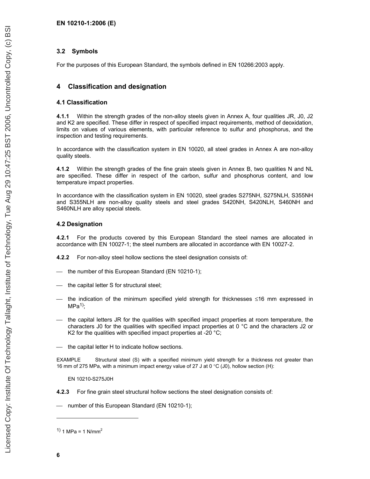### **3.2 Symbols**

For the purposes of this European Standard, the symbols defined in EN 10266:2003 apply.

### **4 Classification and designation**

### **4.1 Classification**

**4.1.1** Within the strength grades of the non-alloy steels given in Annex A, four qualities JR, J0, J2 and K2 are specified. These differ in respect of specified impact requirements, method of deoxidation, limits on values of various elements, with particular reference to sulfur and phosphorus, and the inspection and testing requirements.

In accordance with the classification system in EN 10020, all steel grades in Annex A are non-alloy quality steels.

**4.1.2** Within the strength grades of the fine grain steels given in Annex B, two qualities N and NL are specified. These differ in respect of the carbon, sulfur and phosphorus content, and low temperature impact properties.

In accordance with the classification system in EN 10020, steel grades S275NH, S275NLH, S355NH and S355NLH are non-alloy quality steels and steel grades S420NH, S420NLH, S460NH and S460NLH are alloy special steels.

### **4.2 Designation**

**4.2.1** For the products covered by this European Standard the steel names are allocated in accordance with EN 10027-1; the steel numbers are allocated in accordance with EN 10027-2.

**4.2.2** For non-alloy steel hollow sections the steel designation consists of:

- the number of this European Standard (EN 10210-1);
- the capital letter S for structural steel;
- the indication of the minimum specified yield strength for thicknesses ≤16 mm expressed in  $MPa<sup>1</sup>$ ;
- the capital letters JR for the qualities with specified impact properties at room temperature, the characters J0 for the qualities with specified impact properties at 0 °C and the characters J2 or K2 for the qualities with specified impact properties at -20 °C;
- the capital letter H to indicate hollow sections.

EXAMPLE Structural steel (S) with a specified minimum yield strength for a thickness not greater than 16 mm of 275 MPa, with a minimum impact energy value of 27 J at 0 °C (J0), hollow section (H):

EN 10210-S275J0H

- **4.2.3** For fine grain steel structural hollow sections the steel designation consists of:
- number of this European Standard (EN 10210-1);

 $(1)$  1 MPa = 1 N/mm<sup>2</sup>

l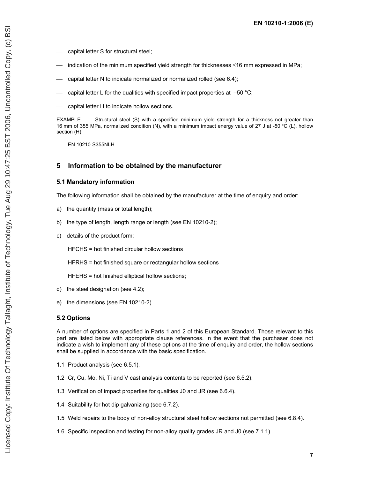- capital letter S for structural steel;
- indication of the minimum specified yield strength for thicknesses ≤16 mm expressed in MPa;
- capital letter N to indicate normalized or normalized rolled (see 6.4);
- capital letter L for the qualities with specified impact properties at  $-50$  °C;
- capital letter H to indicate hollow sections.

EXAMPLE Structural steel (S) with a specified minimum yield strength for a thickness not greater than 16 mm of 355 MPa, normalized condition (N), with a minimum impact energy value of 27 J at -50 °C (L), hollow section (H):

EN 10210-S355NLH

### **5 Information to be obtained by the manufacturer**

### **5.1 Mandatory information**

The following information shall be obtained by the manufacturer at the time of enquiry and order:

- a) the quantity (mass or total length);
- b) the type of length, length range or length (see EN 10210-2);
- c) details of the product form:

HFCHS = hot finished circular hollow sections

HFRHS = hot finished square or rectangular hollow sections

HFEHS = hot finished elliptical hollow sections;

- d) the steel designation (see 4.2);
- e) the dimensions (see EN 10210-2).

### **5.2 Options**

A number of options are specified in Parts 1 and 2 of this European Standard. Those relevant to this part are listed below with appropriate clause references. In the event that the purchaser does not indicate a wish to implement any of these options at the time of enquiry and order, the hollow sections shall be supplied in accordance with the basic specification.

- 1.1 Product analysis (see 6.5.1).
- 1.2 Cr, Cu, Mo, Ni, Ti and V cast analysis contents to be reported (see 6.5.2).
- 1.3 Verification of impact properties for qualities J0 and JR (see 6.6.4).
- 1.4 Suitability for hot dip galvanizing (see 6.7.2).
- 1.5 Weld repairs to the body of non-alloy structural steel hollow sections not permitted (see 6.8.4).
- 1.6 Specific inspection and testing for non-alloy quality grades JR and J0 (see 7.1.1).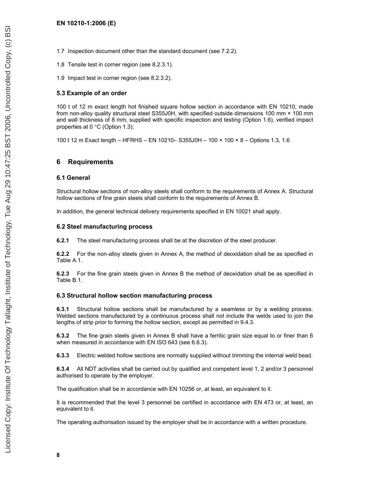- 1.7 Inspection document other than the standard document (see 7.2.2).
- 1.8 Tensile test in corner region (see 8.2.3.1).
- 1.9 Impact test in corner region (see 8.2.3.2).

### **5.3 Example of an order**

100 t of 12 m exact length hot finished square hollow section in accordance with EN 10210, made from non-alloy quality structural steel S355J0H, with specified outside dimensions 100 mm × 100 mm and wall thickness of 8 mm, supplied with specific inspection and testing (Option 1.6), verified impact properties at 0 °C (Option 1.3):

100 t 12 m Exact length – HFRHS – EN 10210– S355J0H – 100 × 100 × 8 – Options 1.3, 1.6

### **6 Requirements**

### **6.1 General**

Structural hollow sections of non-alloy steels shall conform to the requirements of Annex A. Structural hollow sections of fine grain steels shall conform to the requirements of Annex B.

In addition, the general technical delivery requirements specified in EN 10021 shall apply.

### **6.2 Steel manufacturing process**

**6.2.1** The steel manufacturing process shall be at the discretion of the steel producer.

**6.2.2** For the non-alloy steels given in Annex A, the method of deoxidation shall be as specified in Table A.1.

**6.2.3** For the fine grain steels given in Annex B the method of deoxidation shall be as specified in Table B.1.

### **6.3 Structural hollow section manufacturing process**

**6.3.1** Structural hollow sections shall be manufactured by a seamless or by a welding process. Welded sections manufactured by a continuous process shall not include the welds used to join the lengths of strip prior to forming the hollow section, except as permitted in 9.4.3.

**6.3.2** The fine grain steels given in Annex B shall have a ferritic grain size equal to or finer than 6 when measured in accordance with EN ISO 643 (see 6.6.3).

**6.3.3** Electric welded hollow sections are normally supplied without trimming the internal weld bead.

**6.3.4** All NDT activities shall be carried out by qualified and competent level 1, 2 and/or 3 personnel authorised to operate by the employer.

The qualification shall be in accordance with EN 10256 or, at least, an equivalent to it.

It is recommended that the level 3 personnel be certified in accordance with EN 473 or, at least, an equivalent to it.

The operating authorisation issued by the employer shall be in accordance with a written procedure.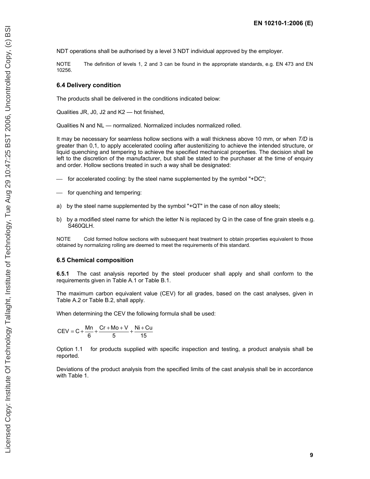NDT operations shall be authorised by a level 3 NDT individual approved by the employer.

NOTE The definition of levels 1, 2 and 3 can be found in the appropriate standards, e.g. EN 473 and EN 10256.

### **6.4 Delivery condition**

The products shall be delivered in the conditions indicated below:

Qualities JR, J0, J2 and K2 — hot finished,

Qualities N and NL — normalized. Normalized includes normalized rolled.

It may be necessary for seamless hollow sections with a wall thickness above 10 mm, or when *T/D* is greater than 0,1, to apply accelerated cooling after austenitizing to achieve the intended structure, or liquid quenching and tempering to achieve the specified mechanical properties. The decision shall be left to the discretion of the manufacturer, but shall be stated to the purchaser at the time of enquiry and order. Hollow sections treated in such a way shall be designated:

- for accelerated cooling: by the steel name supplemented by the symbol "+DC";
- for quenching and tempering:
- a) by the steel name supplemented by the symbol "+QT" in the case of non alloy steels;
- b) by a modified steel name for which the letter N is replaced by Q in the case of fine grain steels e.g. S460QLH.

NOTE Cold formed hollow sections with subsequent heat treatment to obtain properties equivalent to those obtained by normalizing rolling are deemed to meet the requirements of this standard.

### **6.5 Chemical composition**

**6.5.1** The cast analysis reported by the steel producer shall apply and shall conform to the requirements given in Table A.1 or Table B.1.

The maximum carbon equivalent value (CEV) for all grades, based on the cast analyses, given in Table A.2 or Table B.2, shall apply.

When determining the CEV the following formula shall be used:

$$
CEV = C + \frac{Mn}{6} + \frac{Cr + Mo + V}{5} + \frac{Ni + Cu}{15}
$$

Option 1.1 for products supplied with specific inspection and testing, a product analysis shall be reported.

Deviations of the product analysis from the specified limits of the cast analysis shall be in accordance with Table 1.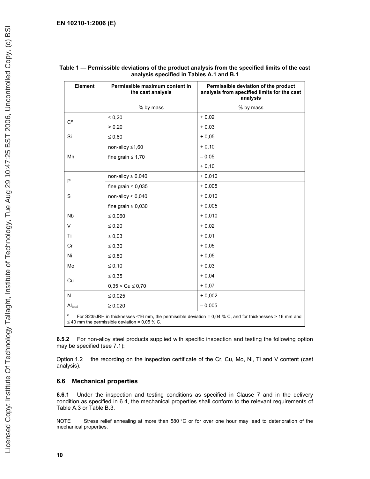| <b>Element</b>                 | Permissible maximum content in<br>the cast analysis | Permissible deviation of the product<br>analysis from specified limits for the cast<br>analysis                |
|--------------------------------|-----------------------------------------------------|----------------------------------------------------------------------------------------------------------------|
|                                | % by mass                                           | % by mass                                                                                                      |
|                                | $\leq 0,20$                                         | $+0,02$                                                                                                        |
| $C^a$                          | > 0,20                                              | $+0,03$                                                                                                        |
| Si                             | $\leq 0,60$                                         | $+0,05$                                                                                                        |
|                                | non-alloy ≤1,60                                     | $+0,10$                                                                                                        |
| Mn                             | fine grain $\leq 1,70$                              | $-0.05$                                                                                                        |
|                                |                                                     | $+0,10$                                                                                                        |
| P                              | non-alloy $\leq 0,040$                              | $+0,010$                                                                                                       |
|                                | fine grain $\leq 0.035$                             | $+0,005$                                                                                                       |
| S                              | non-alloy $\leq 0,040$                              | $+0,010$                                                                                                       |
|                                | fine grain $\leq 0,030$                             | $+0,005$                                                                                                       |
| <b>Nb</b>                      | $\leq 0,060$                                        | $+0,010$                                                                                                       |
| V                              | $\leq 0,20$                                         | $+0.02$                                                                                                        |
| Ti                             | $\leq 0,03$                                         | $+0,01$                                                                                                        |
| Cr                             | $\leq 0,30$                                         | $+0,05$                                                                                                        |
| Ni                             | $\leq 0,80$                                         | $+0,05$                                                                                                        |
| Mo                             | $\leq 0,10$                                         | $+0,03$                                                                                                        |
|                                | $\leq 0,35$                                         | $+0,04$                                                                                                        |
| Cu                             | $0,35 < Cu \le 0,70$                                | $+0,07$                                                                                                        |
| N                              | $\leq 0,025$                                        | $+0,002$                                                                                                       |
| $\mathsf{Al}_{\mathsf{total}}$ | $\geq 0,020$                                        | $-0,005$                                                                                                       |
| a                              | $\leq$ 40 mm the permissible deviation = 0,05 % C.  | For S235JRH in thicknesses $\leq$ 16 mm, the permissible deviation = 0,04 % C, and for thicknesses > 16 mm and |

### **Table 1 — Permissible deviations of the product analysis from the specified limits of the cast analysis specified in Tables A.1 and B.1**

**6.5.2** For non-alloy steel products supplied with specific inspection and testing the following option may be specified (see 7.1):

Option 1.2 the recording on the inspection certificate of the Cr, Cu, Mo, Ni, Ti and V content (cast analysis).

### **6.6 Mechanical properties**

**6.6.1** Under the inspection and testing conditions as specified in Clause 7 and in the delivery condition as specified in 6.4, the mechanical properties shall conform to the relevant requirements of Table A.3 or Table B.3.

NOTE Stress relief annealing at more than 580 °C or for over one hour may lead to deterioration of the mechanical properties.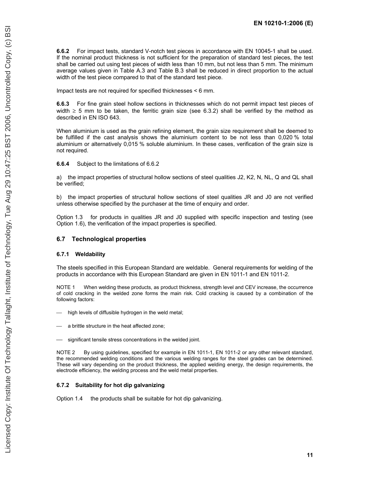**6.6.2** For impact tests, standard V-notch test pieces in accordance with EN 10045-1 shall be used. If the nominal product thickness is not sufficient for the preparation of standard test pieces, the test shall be carried out using test pieces of width less than 10 mm, but not less than 5 mm. The minimum average values given in Table A.3 and Table B.3 shall be reduced in direct proportion to the actual width of the test piece compared to that of the standard test piece.

Impact tests are not required for specified thicknesses < 6 mm.

**6.6.3** For fine grain steel hollow sections in thicknesses which do not permit impact test pieces of width  $\geq$  5 mm to be taken, the ferritic grain size (see 6.3.2) shall be verified by the method as described in EN ISO 643.

When aluminium is used as the grain refining element, the grain size requirement shall be deemed to be fulfilled if the cast analysis shows the aluminium content to be not less than 0,020 % total aluminium or alternatively 0,015 % soluble aluminium. In these cases, verification of the grain size is not required.

### **6.6.4** Subject to the limitations of 6.6.2

a) the impact properties of structural hollow sections of steel qualities J2, K2, N, NL, Q and QL shall be verified;

b) the impact properties of structural hollow sections of steel qualities JR and J0 are not verified unless otherwise specified by the purchaser at the time of enquiry and order.

Option 1.3 for products in qualities JR and J0 supplied with specific inspection and testing (see Option 1.6), the verification of the impact properties is specified.

### **6.7 Technological properties**

### **6.7.1 Weldability**

The steels specified in this European Standard are weldable. General requirements for welding of the products in accordance with this European Standard are given in EN 1011-1 and EN 1011-2.

NOTE 1 When welding these products, as product thickness, strength level and CEV increase, the occurrence of cold cracking in the welded zone forms the main risk. Cold cracking is caused by a combination of the following factors:

- high levels of diffusible hydrogen in the weld metal;
- a brittle structure in the heat affected zone;
- significant tensile stress concentrations in the welded joint.

NOTE 2 By using guidelines, specified for example in EN 1011-1, EN 1011-2 or any other relevant standard, the recommended welding conditions and the various welding ranges for the steel grades can be determined. These will vary depending on the product thickness, the applied welding energy, the design requirements, the electrode efficiency, the welding process and the weld metal properties.

### **6.7.2 Suitability for hot dip galvanizing**

Option 1.4 the products shall be suitable for hot dip galvanizing.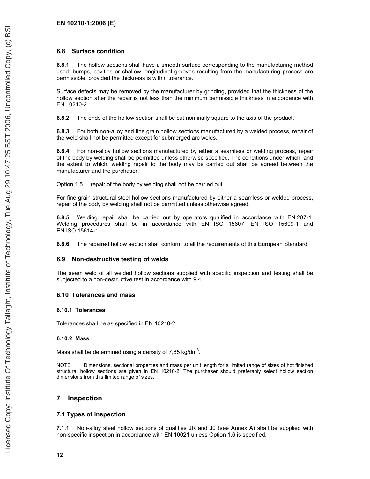### **6.8 Surface condition**

**6.8.1** The hollow sections shall have a smooth surface corresponding to the manufacturing method used; bumps, cavities or shallow longitudinal grooves resulting from the manufacturing process are permissible, provided the thickness is within tolerance.

Surface defects may be removed by the manufacturer by grinding, provided that the thickness of the hollow section after the repair is not less than the minimum permissible thickness in accordance with EN 10210-2.

**6.8.2** The ends of the hollow section shall be cut nominally square to the axis of the product.

**6.8.3** For both non-alloy and fine grain hollow sections manufactured by a welded process, repair of the weld shall not be permitted except for submerged arc welds.

**6.8.4** For non-alloy hollow sections manufactured by either a seamless or welding process, repair of the body by welding shall be permitted unless otherwise specified. The conditions under which, and the extent to which, welding repair to the body may be carried out shall be agreed between the manufacturer and the purchaser.

Option 1.5 repair of the body by welding shall not be carried out.

For fine grain structural steel hollow sections manufactured by either a seamless or welded process, repair of the body by welding shall not be permitted unless otherwise agreed.

**6.8.5** Welding repair shall be carried out by operators qualified in accordance with EN 287-1. Welding procedures shall be in accordance with EN ISO 15607, EN ISO 15609-1 and EN ISO 15614-1.

**6.8.6** The repaired hollow section shall conform to all the requirements of this European Standard.

### **6.9 Non-destructive testing of welds**

The seam weld of all welded hollow sections supplied with specific inspection and testing shall be subjected to a non-destructive test in accordance with 9.4.

### **6.10 Tolerances and mass**

### **6.10.1 Tolerances**

Tolerances shall be as specified in EN 10210-2.

### **6.10.2 Mass**

Mass shall be determined using a density of 7,85 kg/dm<sup>3</sup>.

NOTE Dimensions, sectional properties and mass per unit length for a limited range of sizes of hot finished structural hollow sections are given in EN 10210-2. The purchaser should preferably select hollow section dimensions from this limited range of sizes.

### **7 Inspection**

### **7.1 Types of inspection**

**7.1.1** Non-alloy steel hollow sections of qualities JR and J0 (see Annex A) shall be supplied with non-specific inspection in accordance with EN 10021 unless Option 1.6 is specified.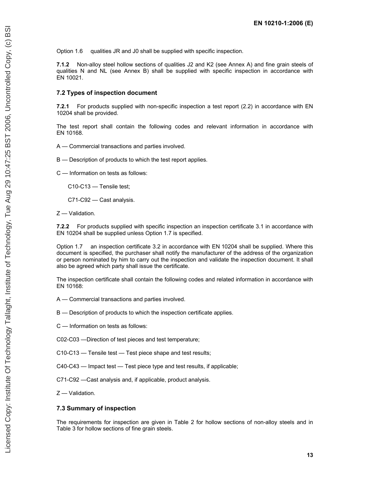Option 1.6 qualities JR and J0 shall be supplied with specific inspection.

**7.1.2** Non-alloy steel hollow sections of qualities J2 and K2 (see Annex A) and fine grain steels of qualities N and NL (see Annex B) shall be supplied with specific inspection in accordance with EN 10021.

### **7.2 Types of inspection document**

**7.2.1** For products supplied with non-specific inspection a test report (2.2) in accordance with EN 10204 shall be provided.

The test report shall contain the following codes and relevant information in accordance with EN 10168.

- A Commercial transactions and parties involved.
- B Description of products to which the test report applies.
- C Information on tests as follows:
	- C10-C13 Tensile test;
	- C71-C92 Cast analysis.
- Z Validation.

**7.2.2** For products supplied with specific inspection an inspection certificate 3.1 in accordance with EN 10204 shall be supplied unless Option 1.7 is specified.

Option 1.7 an inspection certificate 3.2 in accordance with EN 10204 shall be supplied. Where this document is specified, the purchaser shall notify the manufacturer of the address of the organization or person nominated by him to carry out the inspection and validate the inspection document. It shall also be agreed which party shall issue the certificate.

The inspection certificate shall contain the following codes and related information in accordance with EN 10168:

- A Commercial transactions and parties involved.
- B Description of products to which the inspection certificate applies.
- C Information on tests as follows:
- C02-C03 —Direction of test pieces and test temperature;
- C10-C13 Tensile test Test piece shape and test results;
- C40-C43 Impact test Test piece type and test results, if applicable;
- C71-C92 —Cast analysis and, if applicable, product analysis.
- Z Validation.

### **7.3 Summary of inspection**

The requirements for inspection are given in Table 2 for hollow sections of non-alloy steels and in Table 3 for hollow sections of fine grain steels.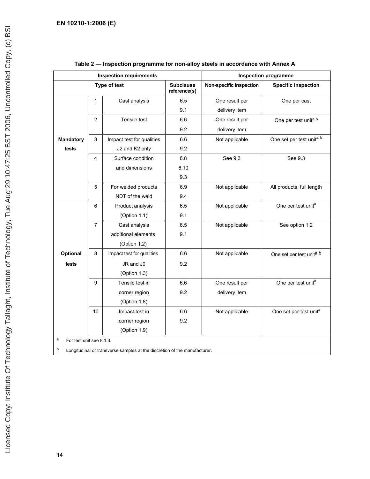**EN 10210-1:2006 (E)** 

| <b>Inspection requirements</b> |                |                                                                           |                                  | <b>Inspection programme</b> |                                    |  |  |
|--------------------------------|----------------|---------------------------------------------------------------------------|----------------------------------|-----------------------------|------------------------------------|--|--|
|                                |                | Type of test                                                              | <b>Subclause</b><br>reference(s) | Non-specific inspection     | <b>Specific inspection</b>         |  |  |
|                                | $\mathbf{1}$   | Cast analysis                                                             | 6.5                              | One result per              | One per cast                       |  |  |
|                                |                |                                                                           | 9.1                              | delivery item               |                                    |  |  |
|                                | $\overline{2}$ | Tensile test                                                              | 6.6                              | One result per              | One per test unita b               |  |  |
|                                |                |                                                                           | 9.2                              | delivery item               |                                    |  |  |
| <b>Mandatory</b>               | 3              | Impact test for qualities                                                 | 6.6                              | Not applicable              | One set per test unita, b          |  |  |
| tests                          |                | J2 and K2 only                                                            | 9.2                              |                             |                                    |  |  |
|                                | 4              | Surface condition                                                         | 6.8                              | See 9.3                     | See 9.3                            |  |  |
|                                |                | and dimensions                                                            | 6.10                             |                             |                                    |  |  |
|                                |                |                                                                           | 9.3                              |                             |                                    |  |  |
|                                | 5              | For welded products                                                       | 6.9                              | Not applicable              | All products, full length          |  |  |
|                                |                | NDT of the weld                                                           | 9.4                              |                             |                                    |  |  |
|                                | 6              | Product analysis                                                          | 6.5                              | Not applicable              | One per test unit <sup>a</sup>     |  |  |
|                                |                | (Option 1.1)                                                              | 9.1                              |                             |                                    |  |  |
|                                | $\overline{7}$ | Cast analysis                                                             | 6.5                              | Not applicable              | See option 1.2                     |  |  |
|                                |                | additional elements                                                       | 9.1                              |                             |                                    |  |  |
|                                |                | (Option 1.2)                                                              |                                  |                             |                                    |  |  |
| Optional                       | 8              | Impact test for qualities                                                 | 6.6                              | Not applicable              | One set per test unita b           |  |  |
| tests                          |                | JR and J0                                                                 | 9.2                              |                             |                                    |  |  |
|                                |                | (Option 1.3)                                                              |                                  |                             |                                    |  |  |
|                                | 9              | Tensile test in                                                           | 6.6                              | One result per              | One per test unit <sup>a</sup>     |  |  |
|                                |                | corner region                                                             | 9.2                              | delivery item               |                                    |  |  |
|                                |                | (Option 1.8)                                                              |                                  |                             |                                    |  |  |
|                                | 10             | Impact test in                                                            | 6.6                              | Not applicable              | One set per test unit <sup>a</sup> |  |  |
|                                |                | corner region                                                             | 9.2                              |                             |                                    |  |  |
|                                |                | (Option 1.9)                                                              |                                  |                             |                                    |  |  |
| a<br>For test unit see 8.1.3.  |                |                                                                           |                                  |                             |                                    |  |  |
| b                              |                | Longitudinal or transverse samples at the discretion of the manufacturer. |                                  |                             |                                    |  |  |

### **Table 2 — Inspection programme for non-alloy steels in accordance with Annex A**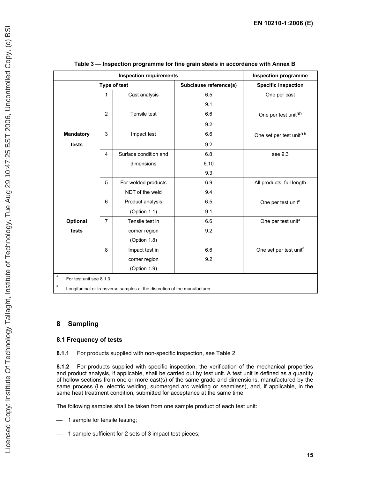|                                              |                | <b>Inspection requirements</b>                                           | <b>Inspection programme</b> |                                    |  |
|----------------------------------------------|----------------|--------------------------------------------------------------------------|-----------------------------|------------------------------------|--|
|                                              |                | Type of test                                                             | Subclause reference(s)      | <b>Specific inspection</b>         |  |
|                                              | 1              | Cast analysis                                                            | 6.5                         | One per cast                       |  |
|                                              |                |                                                                          | 9.1                         |                                    |  |
|                                              | $\overline{2}$ | Tensile test                                                             | 6.6                         | One per test unitab                |  |
|                                              |                |                                                                          | 9.2                         |                                    |  |
| <b>Mandatory</b>                             | 3              | Impact test                                                              | 6.6                         | One set per test unitab            |  |
| tests                                        |                |                                                                          | 9.2                         |                                    |  |
|                                              | $\overline{4}$ | Surface condition and                                                    | 6.8                         | see 9.3                            |  |
|                                              |                | dimensions                                                               | 6.10                        |                                    |  |
|                                              |                |                                                                          | 9.3                         |                                    |  |
|                                              | 5              | For welded products                                                      | 6.9                         | All products, full length          |  |
|                                              |                | NDT of the weld                                                          | 9.4                         |                                    |  |
|                                              | 6              | Product analysis                                                         | 6.5                         | One per test unita                 |  |
|                                              |                | (Option $1.1$ )                                                          | 9.1                         |                                    |  |
| Optional                                     | $\overline{7}$ | Tensile test in                                                          | 6.6                         | One per test unit <sup>a</sup>     |  |
| tests                                        |                | corner region                                                            | 9.2                         |                                    |  |
|                                              |                | (Option 1.8)                                                             |                             |                                    |  |
|                                              | 8              | Impact test in                                                           | 6.6                         | One set per test unit <sup>a</sup> |  |
|                                              |                | corner region                                                            | 9.2                         |                                    |  |
|                                              |                | (Option 1.9)                                                             |                             |                                    |  |
| $\mathsf a$<br>For test unit see 8.1.3.<br>b |                | Longitudinal or transverse samples at the discretion of the manufacturer |                             |                                    |  |

### **Table 3 — Inspection programme for fine grain steels in accordance with Annex B**

### **8 Sampling**

### **8.1 Frequency of tests**

**8.1.1** For products supplied with non-specific inspection, see Table 2.

**8.1.2** For products supplied with specific inspection, the verification of the mechanical properties and product analysis, if applicable, shall be carried out by test unit. A test unit is defined as a quantity of hollow sections from one or more cast(s) of the same grade and dimensions, manufactured by the same process (i.e. electric welding, submerged arc welding or seamless), and, if applicable, in the same heat treatment condition, submitted for acceptance at the same time.

The following samples shall be taken from one sample product of each test unit:

- 1 sample for tensile testing;
- 1 sample sufficient for 2 sets of 3 impact test pieces;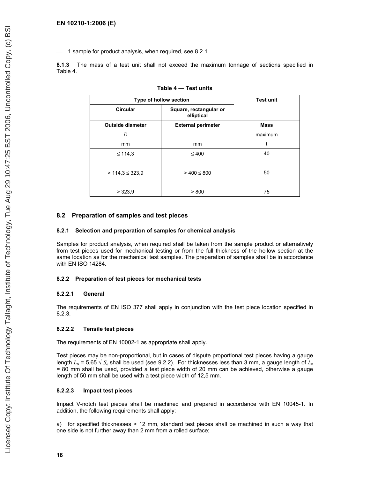1 sample for product analysis, when required, see 8.2.1.

**8.1.3** The mass of a test unit shall not exceed the maximum tonnage of sections specified in Table 4.

| Type of hollow section  | <b>Test unit</b>                     |             |
|-------------------------|--------------------------------------|-------------|
| Circular                | Square, rectangular or<br>elliptical |             |
| <b>Outside diameter</b> | <b>External perimeter</b>            | <b>Mass</b> |
| D                       |                                      | maximum     |
| mm                      | mm                                   | t           |
| ≤ 114.3                 | $\leq 400$                           | 40          |
| $> 114.3 \leq 323.9$    | $> 400 \leq 800$                     | 50          |
| > 323,9                 | > 800                                | 75          |

| Table 4 — Test units |  |
|----------------------|--|
|----------------------|--|

### **8.2 Preparation of samples and test pieces**

### **8.2.1 Selection and preparation of samples for chemical analysis**

Samples for product analysis, when required shall be taken from the sample product or alternatively from test pieces used for mechanical testing or from the full thickness of the hollow section at the same location as for the mechanical test samples. The preparation of samples shall be in accordance with EN ISO 14284.

### **8.2.2 Preparation of test pieces for mechanical tests**

### **8.2.2.1 General**

The requirements of EN ISO 377 shall apply in conjunction with the test piece location specified in 8.2.3.

### **8.2.2.2 Tensile test pieces**

The requirements of EN 10002-1 as appropriate shall apply.

Test pieces may be non-proportional, but in cases of dispute proportional test pieces having a gauge length  $L_0$  = 5,65  $\sqrt{s}$  shall be used (see 9.2.2). For thicknesses less than 3 mm, a gauge length of  $L_0$ = 80 mm shall be used, provided a test piece width of 20 mm can be achieved, otherwise a gauge length of 50 mm shall be used with a test piece width of 12,5 mm.

### **8.2.2.3 Impact test pieces**

Impact V-notch test pieces shall be machined and prepared in accordance with EN 10045-1. In addition, the following requirements shall apply:

a) for specified thicknesses > 12 mm, standard test pieces shall be machined in such a way that one side is not further away than 2 mm from a rolled surface;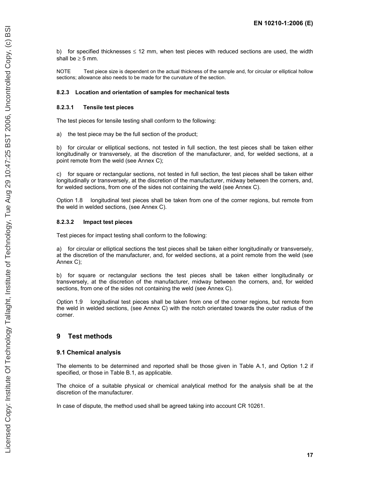b) for specified thicknesses  $\leq 12$  mm, when test pieces with reduced sections are used, the width shall be  $\geq$  5 mm.

NOTE Test piece size is dependent on the actual thickness of the sample and, for circular or elliptical hollow sections; allowance also needs to be made for the curvature of the section.

### **8.2.3 Location and orientation of samples for mechanical tests**

### **8.2.3.1 Tensile test pieces**

The test pieces for tensile testing shall conform to the following:

a) the test piece may be the full section of the product;

b) for circular or elliptical sections, not tested in full section, the test pieces shall be taken either longitudinally or transversely, at the discretion of the manufacturer, and, for welded sections, at a point remote from the weld (see Annex C);

c) for square or rectangular sections, not tested in full section, the test pieces shall be taken either longitudinally or transversely, at the discretion of the manufacturer, midway between the corners, and, for welded sections, from one of the sides not containing the weld (see Annex C).

Option 1.8 longitudinal test pieces shall be taken from one of the corner regions, but remote from the weld in welded sections, (see Annex C).

### **8.2.3.2 Impact test pieces**

Test pieces for impact testing shall conform to the following:

a) for circular or elliptical sections the test pieces shall be taken either longitudinally or transversely, at the discretion of the manufacturer, and, for welded sections, at a point remote from the weld (see Annex C);

b) for square or rectangular sections the test pieces shall be taken either longitudinally or transversely, at the discretion of the manufacturer, midway between the corners, and, for welded sections, from one of the sides not containing the weld (see Annex C).

Option 1.9 longitudinal test pieces shall be taken from one of the corner regions, but remote from the weld in welded sections, (see Annex C) with the notch orientated towards the outer radius of the corner.

### **9 Test methods**

### **9.1 Chemical analysis**

The elements to be determined and reported shall be those given in Table A.1, and Option 1.2 if specified, or those in Table B.1, as applicable.

The choice of a suitable physical or chemical analytical method for the analysis shall be at the discretion of the manufacturer.

In case of dispute, the method used shall be agreed taking into account CR 10261.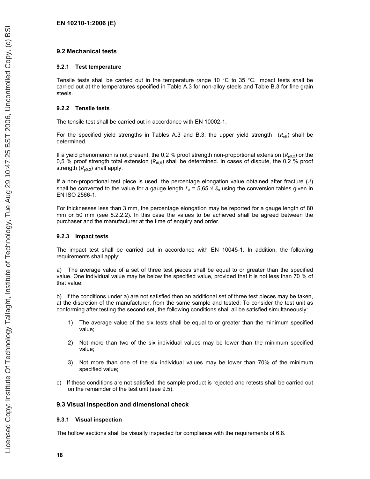### **9.2 Mechanical tests**

### **9.2.1 Test temperature**

Tensile tests shall be carried out in the temperature range 10 °C to 35 °C. Impact tests shall be carried out at the temperatures specified in Table A.3 for non-alloy steels and Table B.3 for fine grain steels.

### **9.2.2 Tensile tests**

The tensile test shall be carried out in accordance with EN 10002-1.

For the specified yield strengths in Tables A.3 and B.3, the upper yield strength  $(R_{\text{eff}})$  shall be determined.

If a yield phenomenon is not present, the 0,2 % proof strength non-proportional extension  $(R_{p0,2})$  or the 0,5 % proof strength total extension  $(R<sub>10.5</sub>)$  shall be determined. In cases of dispute, the 0,2 % proof strength  $(R_{p0,2})$  shall apply.

If a non-proportional test piece is used, the percentage elongation value obtained after fracture (*A*) shall be converted to the value for a gauge length  $L_{\rm o}$  = 5,65  $\sqrt{S_{\rm o}}$  using the conversion tables given in EN ISO 2566-1.

For thicknesses less than 3 mm, the percentage elongation may be reported for a gauge length of 80 mm or 50 mm (see 8.2.2.2). In this case the values to be achieved shall be agreed between the purchaser and the manufacturer at the time of enquiry and order.

### **9.2.3 Impact tests**

The impact test shall be carried out in accordance with EN 10045-1. In addition, the following requirements shall apply:

a) The average value of a set of three test pieces shall be equal to or greater than the specified value. One individual value may be below the specified value, provided that it is not less than 70 % of that value;

b) If the conditions under a) are not satisfied then an additional set of three test pieces may be taken, at the discretion of the manufacturer, from the same sample and tested. To consider the test unit as conforming after testing the second set, the following conditions shall all be satisfied simultaneously:

- 1) The average value of the six tests shall be equal to or greater than the minimum specified value;
- 2) Not more than two of the six individual values may be lower than the minimum specified value;
- 3) Not more than one of the six individual values may be lower than 70% of the minimum specified value;
- c) If these conditions are not satisfied, the sample product is rejected and retests shall be carried out on the remainder of the test unit (see 9.5).

### **9.3 Visual inspection and dimensional check**

### **9.3.1 Visual inspection**

The hollow sections shall be visually inspected for compliance with the requirements of 6.8.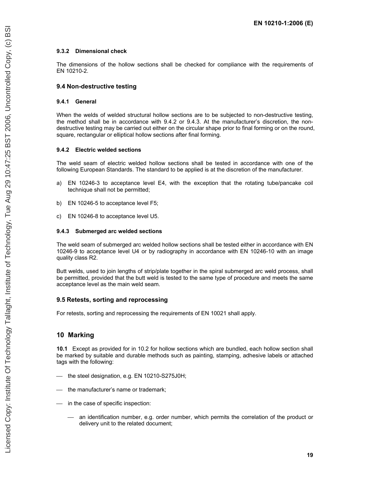### **9.3.2 Dimensional check**

The dimensions of the hollow sections shall be checked for compliance with the requirements of EN 10210-2.

### **9.4 Non-destructive testing**

### **9.4.1 General**

When the welds of welded structural hollow sections are to be subjected to non-destructive testing, the method shall be in accordance with 9.4.2 or 9.4.3. At the manufacturer's discretion, the nondestructive testing may be carried out either on the circular shape prior to final forming or on the round, square, rectangular or elliptical hollow sections after final forming.

### **9.4.2 Electric welded sections**

The weld seam of electric welded hollow sections shall be tested in accordance with one of the following European Standards. The standard to be applied is at the discretion of the manufacturer.

- a) EN 10246-3 to acceptance level E4, with the exception that the rotating tube/pancake coil technique shall not be permitted;
- b) EN 10246-5 to acceptance level F5;
- c) EN 10246-8 to acceptance level U5.

### **9.4.3 Submerged arc welded sections**

The weld seam of submerged arc welded hollow sections shall be tested either in accordance with EN 10246-9 to acceptance level U4 or by radiography in accordance with EN 10246-10 with an image quality class R2.

Butt welds, used to join lengths of strip/plate together in the spiral submerged arc weld process, shall be permitted, provided that the butt weld is tested to the same type of procedure and meets the same acceptance level as the main weld seam.

### **9.5 Retests, sorting and reprocessing**

For retests, sorting and reprocessing the requirements of EN 10021 shall apply.

### **10 Marking**

**10.1** Except as provided for in 10.2 for hollow sections which are bundled, each hollow section shall be marked by suitable and durable methods such as painting, stamping, adhesive labels or attached tags with the following:

- the steel designation, e.g. EN 10210-S275J0H;
- the manufacturer's name or trademark;
- in the case of specific inspection:
	- an identification number, e.g. order number, which permits the correlation of the product or delivery unit to the related document;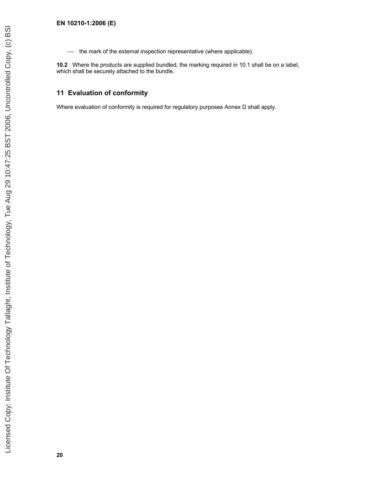- the mark of the external inspection representative (where applicable).

**10.2** Where the products are supplied bundled, the marking required in 10.1 shall be on a label, which shall be securely attached to the bundle.

### **11 Evaluation of conformity**

Where evaluation of conformity is required for regulatory purposes Annex D shall apply.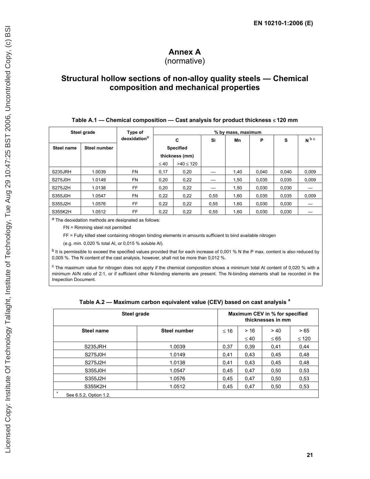### **Annex A**

(normative)

### **Structural hollow sections of non-alloy quality steels — Chemical composition and mechanical properties**

### **Table A.1 — Chemical composition — Cast analysis for product thickness** ≤ **120 mm**

| Steel grade | Type of      | % by mass, maximum       |                  |               |      |      |       |       |        |
|-------------|--------------|--------------------------|------------------|---------------|------|------|-------|-------|--------|
|             |              | deoxidation <sup>a</sup> |                  | C             | Si   | Mn   | P     | s     | $Nb$ c |
| Steel name  | Steel number |                          | <b>Specified</b> |               |      |      |       |       |        |
|             |              |                          | thickness (mm)   |               |      |      |       |       |        |
|             |              |                          | $\leq 40$        | $>40 \le 120$ |      |      |       |       |        |
| S235JRH     | 1.0039       | <b>FN</b>                | 0,17             | 0,20          |      | 1,40 | 0.040 | 0.040 | 0.009  |
| S275J0H     | 1.0149       | <b>FN</b>                | 0.20             | 0,22          |      | 1.50 | 0.035 | 0.035 | 0.009  |
| S275J2H     | 1.0138       | FF                       | 0,20             | 0,22          |      | 1,50 | 0.030 | 0.030 |        |
| S355J0H     | 1.0547       | <b>FN</b>                | 0,22             | 0,22          | 0,55 | 1,60 | 0,035 | 0,035 | 0,009  |
| S355J2H     | 1.0576       | FF                       | 0.22             | 0,22          | 0.55 | 1.60 | 0.030 | 0.030 |        |
| S355K2H     | 1.0512       | FF                       | 0,22             | 0,22          | 0,55 | 1.60 | 0.030 | 0.030 |        |

a The deoxidation methods are designated as follows:

FN = Rimming steel not permitted

FF = Fully killed steel containing nitrogen binding elements in amounts sufficient to bind available nitrogen

(e.g. min. 0,020 % total Al, or 0,015 % soluble Al).

<sup>b</sup> It is permissible to exceed the specified values provided that for each increase of 0,001 % N the P max. content is also reduced by 0,005 %. The N content of the cast analysis, however, shall not be more than 0,012 %.

 $c$  The maximum value for nitrogen does not apply if the chemical composition shows a minimum total AI content of 0,020 % with a minimum Al/N ratio of 2:1, or if sufficient other N-binding elements are present. The N-binding elements shall be recorded in the Inspection Document.

| Table A.2 – Maximum carbon equivalent value (CEV) based on cast analysis <sup>a</sup> |  |  |  |
|---------------------------------------------------------------------------------------|--|--|--|
|                                                                                       |  |  |  |

| Steel grade                 | Maximum CEV in % for specified<br>thicknesses in mm |                              |           |           |            |  |
|-----------------------------|-----------------------------------------------------|------------------------------|-----------|-----------|------------|--|
| Steel name                  | <b>Steel number</b>                                 | $\leq 16$                    | > 16      | > 40      | >65        |  |
|                             |                                                     |                              | $\leq 40$ | $\leq 65$ | $\leq 120$ |  |
| S235JRH                     | 1.0039                                              | 0,37                         | 0,39      | 0.41      | 0,44       |  |
| S275J0H                     | 1.0149                                              | 0,41                         | 0.43      | 0.45      | 0,48       |  |
| S275J2H                     | 1.0138                                              | 0,41                         | 0.43      | 0.45      | 0.48       |  |
| S355J0H                     | 1.0547                                              | 0.45                         | 0.47      | 0.50      | 0.53       |  |
| S355J2H                     | 1.0576                                              | 0,45                         | 0,47      | 0.50      | 0.53       |  |
| S355K2H                     | 1.0512                                              | 0.45<br>0.47<br>0.53<br>0.50 |           |           |            |  |
| a<br>See 6.5.2, Option 1.2. |                                                     |                              |           |           |            |  |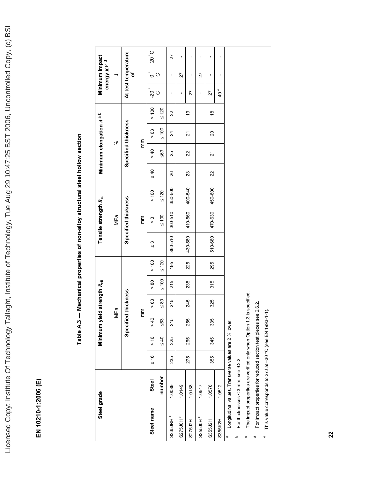Licensed Copy: Institute Of Technology Tallaght, Institute of Technology, Tue Aug 29 10:47:25 BST 2006, Uncontrolled Copy, (c) BSI Licensed Copy: Institute Of Technology Tallaght, Institute of Technology, Tue Aug 29 10:47:25 BST 2006, Uncontrolled Copy, (c) BSI

# **EN 10210-1:2006 (E)**  EN 10210-1:2006 (E)

| ֧֦֧֦֧֦֧֦֧֦֧֦֧֦֧֦֧֦֧֦֧֦֧֦֧֦֧֦֧֦֧֦֧֦֝֟֓֕֟֓֓֓ |
|--------------------------------------------|
|                                            |
| :                                          |
|                                            |
|                                            |

| Steel grade             |                                                                       |           |           | Minimum yiel        | d strength $R_{\rm eff}$ |                 |            |               | Tensile strength $R_m$ |            |                | Minimum elongation A <sup>ab</sup> |                 |                |              | Minimum impact<br>energy $KV^d$ |               |
|-------------------------|-----------------------------------------------------------------------|-----------|-----------|---------------------|--------------------------|-----------------|------------|---------------|------------------------|------------|----------------|------------------------------------|-----------------|----------------|--------------|---------------------------------|---------------|
|                         |                                                                       |           |           |                     | MPa                      |                 |            |               | MP <sub>a</sub>        |            |                |                                    | ಸಿ              |                |              | ∍                               |               |
|                         |                                                                       |           |           | Specified thickness |                          |                 |            |               | Specified thickness    |            |                | Specified thickness                |                 |                |              | At test temperature<br>đ        |               |
|                         |                                                                       |           |           |                     | mm                       |                 |            |               | mm                     |            |                |                                    | mm              |                |              |                                 |               |
| Steel name              | Steel                                                                 | $\leq 16$ | > 16      | > 40                | > 63                     | 80<br>$\lambda$ | > 100      | $\frac{3}{2}$ | ς<br>Σ                 | > 100      | $\leq 40$      | > 40                               | > 63            | > 100          | ခု ပ         | ္ဂ ပ                            | $2^{\circ}$ C |
|                         | number                                                                |           | $\leq 40$ | $\leq 63$           | $\leq 80$                | $\leq 100$      | $\leq 120$ |               | $\leq 100$             | $\leq 120$ |                | $\leq 63$                          | $\leq 100$      | $\leq 120$     |              |                                 |               |
| S235JRH °               | 1.0039                                                                | 235       | 225       | 215                 | 215                      | 215             | 195        | 360-510       | 360-510                | 350-500    | 26             | 25                                 | $\overline{24}$ | $\overline{2}$ | ı            | f,                              | 27            |
| S275J0H °               | 1.0149                                                                |           |           |                     |                          |                 |            |               |                        |            |                |                                    |                 |                | ı            | 27                              | ï             |
| S275J2H                 | 1.0138                                                                | 275       | 265       | 255                 | 245                      | 235             | 225        | 430-580       | 410-560                | 400-540    | 23             | $\overline{2}$                     | $\overline{2}$  | $\frac{6}{5}$  | 27           | ï                               |               |
| S355J0H °               | 1.0547                                                                |           |           |                     |                          |                 |            |               |                        |            |                |                                    |                 |                | ı            | 27                              |               |
| S355J2H                 | 1.0576                                                                | 355       | 345       | 335                 | 325                      | 315             | 295        | 510-680       | 470-630                | 450-600    | $\overline{2}$ | $\overline{2}$                     | 20              | $\frac{8}{1}$  | 27           |                                 | ï             |
| S355K2H                 | 1.0512                                                                |           |           |                     |                          |                 |            |               |                        |            |                |                                    |                 |                | $40^{\circ}$ |                                 |               |
| $\varpi$                | Longitudinal values. Transverse values are 2 % lower.                 |           |           |                     |                          |                 |            |               |                        |            |                |                                    |                 |                |              |                                 |               |
| م                       | For thicknesses < 3 mm, see 9.2.2.                                    |           |           |                     |                          |                 |            |               |                        |            |                |                                    |                 |                |              |                                 |               |
| $\circ$                 | The impact properties are verified only when Option 1.3 is specified. |           |           |                     |                          |                 |            |               |                        |            |                |                                    |                 |                |              |                                 |               |
| O                       | For impact properties for reduced section test pieces see 6.6.2.      |           |           |                     |                          |                 |            |               |                        |            |                |                                    |                 |                |              |                                 |               |
| $\pmb{\mathsf{\omega}}$ | This value corresponds to 27J at -30 °C (see EN 1993-1-1).            |           |           |                     |                          |                 |            |               |                        |            |                |                                    |                 |                |              |                                 |               |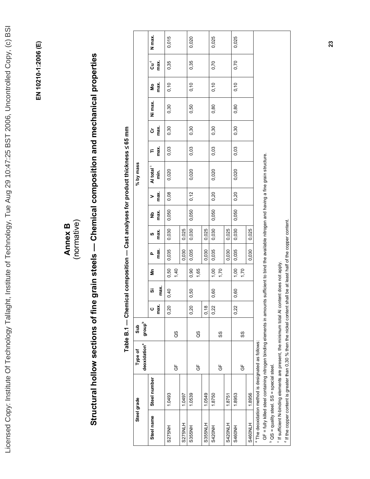Licensed Copy: Institute Of Technology Tallaght, Institute of Technology, Tue Aug 29 10:47:25 BST 2006, Uncontrolled Copy, (c) BSI Licensed Copy: Institute Of Technology Tallaght, Institute of Technology, Tue Aug 29 10:47:25 BST 2006, Uncontrolled Copy, (c) BSI

**EN 10210-1:2006 (E)**  EN 10210-1:2006 (E)

## Annex B<br>(normative) (normative) **Annex B**

# **Structural hollow sections of fine grain steels — Chemical composition and mechanical properties**  Structural hollow sections of fine grain steels - Chemical composition and mechanical properties

|                | Steel grade                                                                                                                                          | Type of                  | Sub                |          |           |      |       |          |       |      | % by mass             |      |      |         |      |      |        |
|----------------|------------------------------------------------------------------------------------------------------------------------------------------------------|--------------------------|--------------------|----------|-----------|------|-------|----------|-------|------|-----------------------|------|------|---------|------|------|--------|
|                |                                                                                                                                                      | deoxidation <sup>a</sup> | group <sup>b</sup> |          |           |      |       |          |       |      |                       |      |      |         |      |      |        |
| Steel name     | Steel number                                                                                                                                         |                          |                    | <u>ن</u> | <b>ທັ</b> | ξ    | Δ.    | <b>S</b> | ŝ     | >    | Al total <sup>c</sup> | Ë    | ပ်   | Ni max. | å    | ಕ    | N max. |
|                |                                                                                                                                                      |                          |                    | max.     | max.      |      | max.  | max.     | max.  | max. | min.                  | max. | max. |         | max. | max. |        |
| S275NH         | 1.0493                                                                                                                                               |                          |                    | 0,20     | 0,40      | 0,50 | 0,035 | 0,030    | 0,050 | 0,08 | 0,020                 | 0,03 | 0,30 | 0,30    | 0,10 | 0,35 | 0,015  |
|                |                                                                                                                                                      | ჭ                        | 8O                 |          |           | 1,40 |       |          |       |      |                       |      |      |         |      |      |        |
| S275NLH        | 1.0497                                                                                                                                               |                          |                    |          |           |      | 0,030 | 0,025    |       |      |                       |      |      |         |      |      |        |
| S355NH         | 1.0539                                                                                                                                               |                          |                    | 0,20     | 0,50      | 0,90 | 0,035 | 0,030    | 0,050 | 0,12 | 0,020                 | 0,03 | 0,30 | 0,50    | 0,10 | 0,35 | 0,020  |
|                |                                                                                                                                                      | ჭ                        | 8S                 |          |           | 1,65 |       |          |       |      |                       |      |      |         |      |      |        |
| S355NLH        | 1.0549                                                                                                                                               |                          |                    | 0,18     |           |      | 0,030 | 0,025    |       |      |                       |      |      |         |      |      |        |
| S420NH         | 1.8750                                                                                                                                               |                          |                    | 0,22     | 0,60      | 1,00 | 0,035 | 0,030    | 0,050 | 0,20 | 0,020                 | 0,03 | 0,30 | 0,80    | 0,10 | 0,70 | 0,025  |
|                |                                                                                                                                                      | ჭ                        | SS                 |          |           | 1,70 |       |          |       |      |                       |      |      |         |      |      |        |
| <b>S420NLH</b> | 1.8751                                                                                                                                               |                          |                    |          |           |      | 0,030 | 0,025    |       |      |                       |      |      |         |      |      |        |
| <b>S460NH</b>  | 1.8953                                                                                                                                               |                          |                    | 0,22     | 0,60      | 1,00 | 0,035 | 0,030    | 0,050 | 0,20 | 0,020                 | 0,03 | 0,30 | 0,80    | 0,10 | 0,70 | 0,025  |
|                |                                                                                                                                                      | ჭ                        | SS                 |          |           | 1,70 |       |          |       |      |                       |      |      |         |      |      |        |
| <b>S460NLH</b> | 1.8956                                                                                                                                               |                          |                    |          |           |      | 0,030 | 0,025    |       |      |                       |      |      |         |      |      |        |
|                | <sup>a</sup> The deoxidation method is designated as follows:                                                                                        |                          |                    |          |           |      |       |          |       |      |                       |      |      |         |      |      |        |
|                | GF = fully killed steel containing nitrogen binding elements in amounts sufficient to bind the available nitrogen and having a fine grain structure. |                          |                    |          |           |      |       |          |       |      |                       |      |      |         |      |      |        |
|                | <sup>b</sup> QS = quality steel. SS = special steel.                                                                                                 |                          |                    |          |           |      |       |          |       |      |                       |      |      |         |      |      |        |
|                |                                                                                                                                                      |                          |                    |          |           |      |       |          |       |      |                       |      |      |         |      |      |        |

# ≤ **65 mm**  Table B.1 - Chemical composition - Cast analyses for product thickness < 65 mm **Table B.1 — Chemical composition — Cast analyses for product thickness**

 $\degree$  If sufficient N-binding elements are present, the minimum total Al content does not apply. <sup>c</sup> If sufficient N-binding elements are present, the minimum total AI content does not apply.

<sup>d</sup> If the copper content is greater than 0,30 % then the nickel content shall be at least half of the copper content. d If the copper content is greater than 0,30 % then the nickel content shall be at least half of the copper content.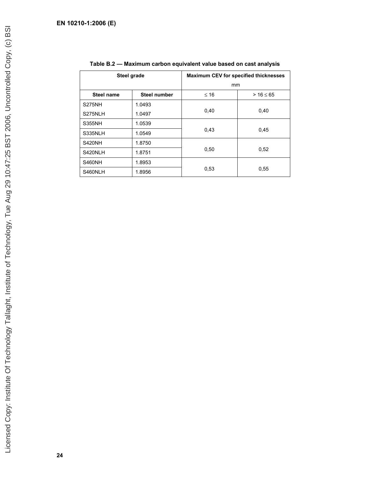**EN 10210-1:2006 (E)** 

| Steel grade   |                     | <b>Maximum CEV for specified thicknesses</b> |               |
|---------------|---------------------|----------------------------------------------|---------------|
|               |                     | mm                                           |               |
| Steel name    | <b>Steel number</b> | $\leq 16$                                    | $> 16 \le 65$ |
| <b>S275NH</b> | 1.0493              |                                              |               |
| S275NLH       | 1.0497              | 0,40                                         | 0,40          |
| <b>S355NH</b> | 1.0539              |                                              |               |
| S335NLH       | 1.0549              | 0.43                                         | 0.45          |
| <b>S420NH</b> | 1.8750              |                                              |               |
| S420NLH       | 1.8751              | 0,50                                         | 0,52          |
| S460NH        | 1.8953              |                                              |               |
| S460NLH       | 1.8956              | 0,53                                         | 0,55          |

### **Table B.2 — Maximum carbon equivalent value based on cast analysis**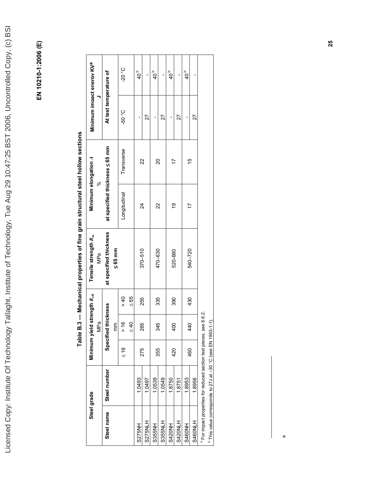Licensed Copy: Institute Of Technology Tallaght, Institute of Technology, Tue Aug 29 10:47:25 BST 2006, Uncontrolled Copy, (c) BSI Licensed Copy: Institute Of Technology Tallaght, Institute of Technology, Tue Aug 29 10:47:25 BST 2006, Uncontrolled Copy, (c) BSI

# **EN 10210-1:2006 (E)**  EN 10210-1:2006 (E)

| 40 <sup>b</sup><br>40 <sup>b</sup><br>40 <sup>b</sup><br>ı<br>27<br>27<br>27<br>27<br>22<br>15<br>20<br>17<br>22<br>$\approx$<br><u>စု</u><br>470-630<br>540-720<br>520-680<br>390<br>430<br>335<br>265<br>345<br>400<br>40<br>420<br>460<br>355<br>1.8956<br>1.0549<br>1.0539<br>1.8750<br>1.8953<br>1.0497<br>1.8751 | 40 <sup>b</sup> | Minimum impact energy KV <sup>a</sup><br>C° 05- | Transverse<br>Minimum elongation A<br>% | Longitudinal | at specified thickness<br>Tensile strength $R_{\rm m}$<br>$370 - 510$<br>$\leq 65$ mm<br>MPa | $\leq 65$<br>$\frac{40}{1}$<br>255 | Minimum yield strength $R_{\rm eff}$<br>MP <sub>a</sub><br>$\frac{6}{5}$<br>$\frac{1}{4}$<br>ξ<br>٨ | $\frac{6}{5}$<br>275 | <sup>a</sup> For impact properties for reduced section test pieces, see 6.6.2.<br>Steel number<br>1.0493<br>Steel grade | Steel name<br><b>S460NLH</b><br>S275NLH<br>S355NLH<br><b>S420NLH</b><br>S275NH<br><b>S420NH</b><br><b>S460NH</b><br>S355NH |
|------------------------------------------------------------------------------------------------------------------------------------------------------------------------------------------------------------------------------------------------------------------------------------------------------------------------|-----------------|-------------------------------------------------|-----------------------------------------|--------------|----------------------------------------------------------------------------------------------|------------------------------------|-----------------------------------------------------------------------------------------------------|----------------------|-------------------------------------------------------------------------------------------------------------------------|----------------------------------------------------------------------------------------------------------------------------|
|                                                                                                                                                                                                                                                                                                                        |                 |                                                 |                                         |              |                                                                                              |                                    |                                                                                                     |                      |                                                                                                                         |                                                                                                                            |
|                                                                                                                                                                                                                                                                                                                        | $-20$ °C        |                                                 |                                         |              |                                                                                              |                                    |                                                                                                     |                      |                                                                                                                         |                                                                                                                            |
|                                                                                                                                                                                                                                                                                                                        |                 |                                                 |                                         |              |                                                                                              |                                    |                                                                                                     |                      |                                                                                                                         |                                                                                                                            |
| At test temperature of<br>at specified thickness < 65 mm<br>Specified thickness                                                                                                                                                                                                                                        |                 |                                                 |                                         |              |                                                                                              |                                    |                                                                                                     |                      |                                                                                                                         |                                                                                                                            |

# **Table B.3 — Mechanical properties of fine grain structural steel hollow sections**  Table B.3 - Mechanical properties of fine grain structural steel hollow sections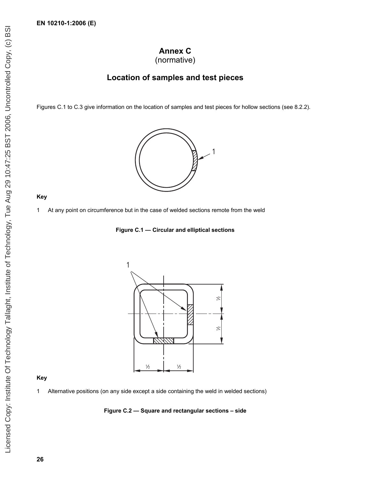### **Annex C**

(normative)

### **Location of samples and test pieces**

Figures C.1 to C.3 give information on the location of samples and test pieces for hollow sections (see 8.2.2).



### **Key**

1 At any point on circumference but in the case of welded sections remote from the weld

**Figure C.1 — Circular and elliptical sections** 



### **Key**

1 Alternative positions (on any side except a side containing the weld in welded sections)

**Figure C.2 — Square and rectangular sections – side**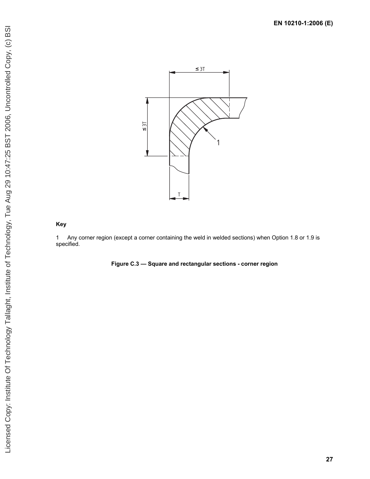

### **Key**

1 Any corner region (except a corner containing the weld in welded sections) when Option 1.8 or 1.9 is specified.

**Figure C.3 — Square and rectangular sections - corner region**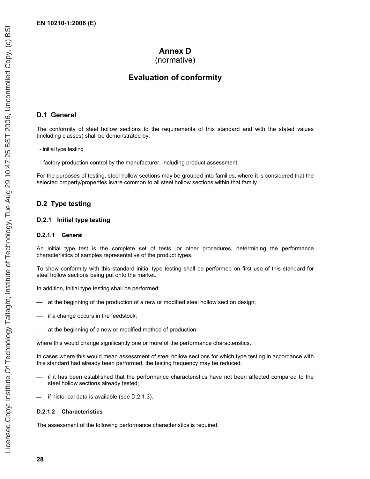### **Annex D**

(normative)

### **Evaluation of conformity**

### **D.1 General**

The conformity of steel hollow sections to the requirements of this standard and with the stated values (including classes) shall be demonstrated by:

- initial type testing

- factory production control by the manufacturer, including product assessment.

For the purposes of testing, steel hollow sections may be grouped into families, where it is considered that the selected property/properties is/are common to all steel hollow sections within that family.

### **D.2 Type testing**

### **D.2.1 Initial type testing**

### **D.2.1.1 General**

An initial type test is the complete set of tests, or other procedures, determining the performance characteristics of samples representative of the product types.

To show conformity with this standard initial type testing shall be performed on first use of this standard for steel hollow sections being put onto the market.

In addition, initial type testing shall be performed:

- at the beginning of the production of a new or modified steel hollow section design;
- if a change occurs in the feedstock;
- at the beginning of a new or modified method of production;

where this would change significantly one or more of the performance characteristics.

In cases where this would mean assessment of steel hollow sections for which type testing in accordance with this standard had already been performed, the testing frequency may be reduced:

- if it has been established that the performance characteristics have not been affected compared to the steel hollow sections already tested;
- if historical data is available (see D.2.1.3).

### **D.2.1.2 Characteristics**

The assessment of the following performance characteristics is required: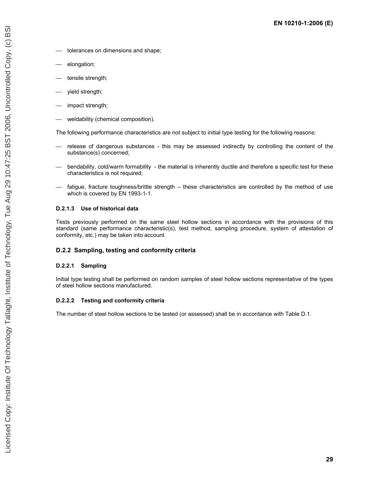- tolerances on dimensions and shape;
- elongation;
- tensile strength;
- yield strength;
- impact strength;
- weldability (chemical composition).

The following performance characteristics are not subject to initial type testing for the following reasons:

- release of dangerous substances this may be assessed indirectly by controlling the content of the substance(s) concerned;
- bendability, cold/warm formability the material is inherently ductile and therefore a specific test for these characteristics is not required;
- fatigue, fracture toughness/brittle strength these characteristics are controlled by the method of use which is covered by EN 1993-1-1.

### **D.2.1.3 Use of historical data**

Tests previously performed on the same steel hollow sections in accordance with the provisions of this standard (same performance characteristic(s), test method, sampling procedure, system of attestation of conformity, etc.) may be taken into account.

### **D.2.2 Sampling, testing and conformity criteria**

### **D.2.2.1 Sampling**

Initial type testing shall be performed on random samples of steel hollow sections representative of the types of steel hollow sections manufactured.

### **D.2.2.2 Testing and conformity criteria**

The number of steel hollow sections to be tested (or assessed) shall be in accordance with Table D.1.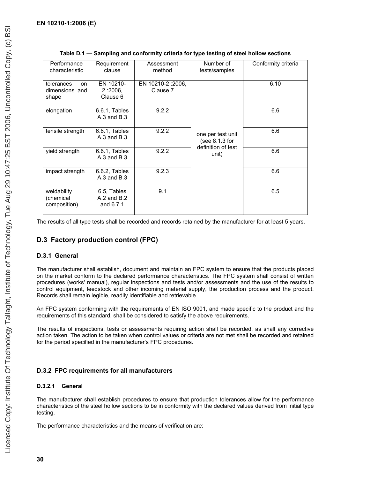| Performance<br>characteristic               | Requirement<br>clause                       | Assessment<br>method         | Number of<br>tests/samples                                | Conformity criteria |
|---------------------------------------------|---------------------------------------------|------------------------------|-----------------------------------------------------------|---------------------|
| tolerances<br>on<br>dimensions and<br>shape | EN 10210-<br>2:2006<br>Clause 6             | EN 10210-2:2006,<br>Clause 7 |                                                           | 6.10                |
| elongation                                  | $6.6.1$ , Tables<br>$A.3$ and $B.3$         | 9.2.2                        |                                                           | 6.6                 |
| tensile strength                            | $6.6.1$ , Tables<br>$A.3$ and $B.3$         | 9.2.2                        | one per test unit<br>(see 8.1.3 for<br>definition of test | 6.6                 |
| yield strength                              | 6.6.1, Tables<br>$A.3$ and $B.3$            | 9.2.2                        | unit)                                                     | 6.6                 |
| impact strength                             | $6.6.2$ , Tables<br>$A.3$ and $B.3$         | 9.2.3                        |                                                           | 6.6                 |
| weldability<br>(chemical<br>composition)    | 6.5, Tables<br>$A.2$ and $B.2$<br>and 6.7.1 | 9.1                          |                                                           | 6.5                 |

### **Table D.1 — Sampling and conformity criteria for type testing of steel hollow sections**

The results of all type tests shall be recorded and records retained by the manufacturer for at least 5 years.

### **D.3 Factory production control (FPC)**

### **D.3.1 General**

The manufacturer shall establish, document and maintain an FPC system to ensure that the products placed on the market conform to the declared performance characteristics. The FPC system shall consist of written procedures (works' manual), regular inspections and tests and/or assessments and the use of the results to control equipment, feedstock and other incoming material supply, the production process and the product. Records shall remain legible, readily identifiable and retrievable.

An FPC system conforming with the requirements of EN ISO 9001, and made specific to the product and the requirements of this standard, shall be considered to satisfy the above requirements.

The results of inspections, tests or assessments requiring action shall be recorded, as shall any corrective action taken. The action to be taken when control values or criteria are not met shall be recorded and retained for the period specified in the manufacturer's FPC procedures.

### **D.3.2 FPC requirements for all manufacturers**

### **D.3.2.1 General**

The manufacturer shall establish procedures to ensure that production tolerances allow for the performance characteristics of the steel hollow sections to be in conformity with the declared values derived from initial type testing.

The performance characteristics and the means of verification are: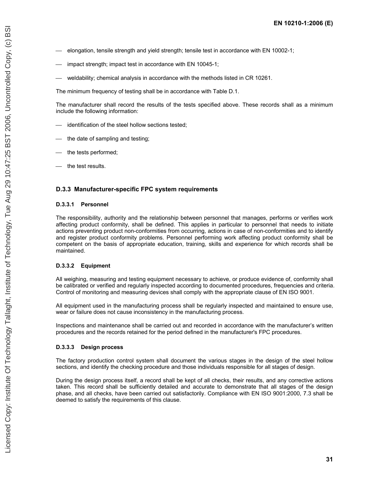- elongation, tensile strength and yield strength; tensile test in accordance with EN 10002-1;
- impact strength; impact test in accordance with EN 10045-1;
- weldability; chemical analysis in accordance with the methods listed in CR 10261.

The minimum frequency of testing shall be in accordance with Table D.1.

The manufacturer shall record the results of the tests specified above. These records shall as a minimum include the following information:

- identification of the steel hollow sections tested;
- the date of sampling and testing;
- the tests performed;
- the test results.

### **D.3.3 Manufacturer-specific FPC system requirements**

### **D.3.3.1 Personnel**

The responsibility, authority and the relationship between personnel that manages, performs or verifies work affecting product conformity, shall be defined. This applies in particular to personnel that needs to initiate actions preventing product non-conformities from occurring, actions in case of non-conformities and to identify and register product conformity problems. Personnel performing work affecting product conformity shall be competent on the basis of appropriate education, training, skills and experience for which records shall be maintained.

### **D.3.3.2 Equipment**

All weighing, measuring and testing equipment necessary to achieve, or produce evidence of, conformity shall be calibrated or verified and regularly inspected according to documented procedures, frequencies and criteria. Control of monitoring and measuring devices shall comply with the appropriate clause of EN ISO 9001.

All equipment used in the manufacturing process shall be regularly inspected and maintained to ensure use, wear or failure does not cause inconsistency in the manufacturing process.

Inspections and maintenance shall be carried out and recorded in accordance with the manufacturer's written procedures and the records retained for the period defined in the manufacturer's FPC procedures.

### **D.3.3.3 Design process**

The factory production control system shall document the various stages in the design of the steel hollow sections, and identify the checking procedure and those individuals responsible for all stages of design.

During the design process itself, a record shall be kept of all checks, their results, and any corrective actions taken. This record shall be sufficiently detailed and accurate to demonstrate that all stages of the design phase, and all checks, have been carried out satisfactorily. Compliance with EN ISO 9001:2000, 7.3 shall be deemed to satisfy the requirements of this clause.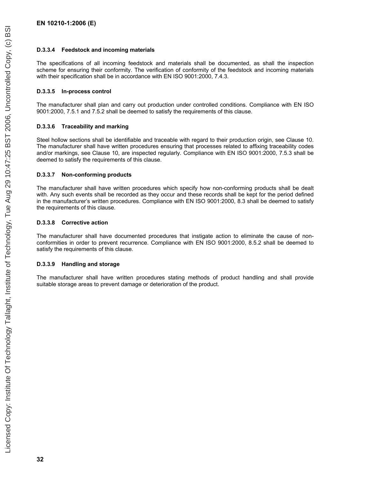### **D.3.3.4 Feedstock and incoming materials**

The specifications of all incoming feedstock and materials shall be documented, as shall the inspection scheme for ensuring their conformity. The verification of conformity of the feedstock and incoming materials with their specification shall be in accordance with EN ISO 9001:2000, 7.4.3.

### **D.3.3.5 In-process control**

The manufacturer shall plan and carry out production under controlled conditions. Compliance with EN ISO 9001:2000, 7.5.1 and 7.5.2 shall be deemed to satisfy the requirements of this clause.

### **D.3.3.6 Traceability and marking**

Steel hollow sections shall be identifiable and traceable with regard to their production origin, see Clause 10. The manufacturer shall have written procedures ensuring that processes related to affixing traceability codes and/or markings, see Clause 10, are inspected regularly. Compliance with EN ISO 9001:2000, 7.5.3 shall be deemed to satisfy the requirements of this clause.

### **D.3.3.7 Non-conforming products**

The manufacturer shall have written procedures which specify how non-conforming products shall be dealt with. Any such events shall be recorded as they occur and these records shall be kept for the period defined in the manufacturer's written procedures. Compliance with EN ISO 9001:2000, 8.3 shall be deemed to satisfy the requirements of this clause.

### **D.3.3.8 Corrective action**

The manufacturer shall have documented procedures that instigate action to eliminate the cause of nonconformities in order to prevent recurrence. Compliance with EN ISO 9001:2000, 8.5.2 shall be deemed to satisfy the requirements of this clause.

### **D.3.3.9 Handling and storage**

The manufacturer shall have written procedures stating methods of product handling and shall provide suitable storage areas to prevent damage or deterioration of the product.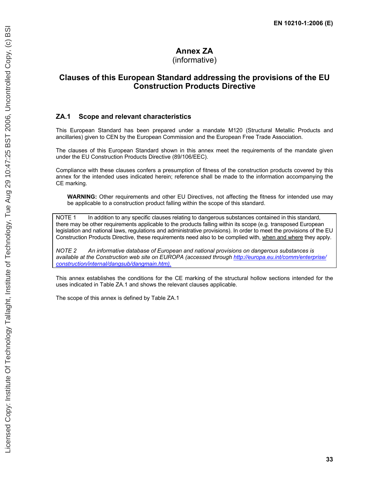### **Annex ZA**

### (informative)

### **Clauses of this European Standard addressing the provisions of the EU Construction Products Directive**

### **ZA.1 Scope and relevant characteristics**

This European Standard has been prepared under a mandate M120 (Structural Metallic Products and ancillaries) given to CEN by the European Commission and the European Free Trade Association.

The clauses of this European Standard shown in this annex meet the requirements of the mandate given under the EU Construction Products Directive (89/106/EEC).

Compliance with these clauses confers a presumption of fitness of the construction products covered by this annex for the intended uses indicated herein; reference shall be made to the information accompanying the CE marking.

**WARNING:** Other requirements and other EU Directives, not affecting the fitness for intended use may be applicable to a construction product falling within the scope of this standard.

NOTE 1 In addition to any specific clauses relating to dangerous substances contained in this standard, there may be other requirements applicable to the products falling within its scope (e.g. transposed European legislation and national laws, regulations and administrative provisions). In order to meet the provisions of the EU Construction Products Directive, these requirements need also to be complied with, when and where they apply.

*NOTE 2 An informative database of European and national provisions on dangerous substances is available at the Construction web site on EUROPA (accessed through http://europa.eu.int/comm/enterprise/ construction/internal/dangsub/dangmain.htm).*

This annex establishes the conditions for the CE marking of the structural hollow sections intended for the uses indicated in Table ZA.1 and shows the relevant clauses applicable.

The scope of this annex is defined by Table ZA.1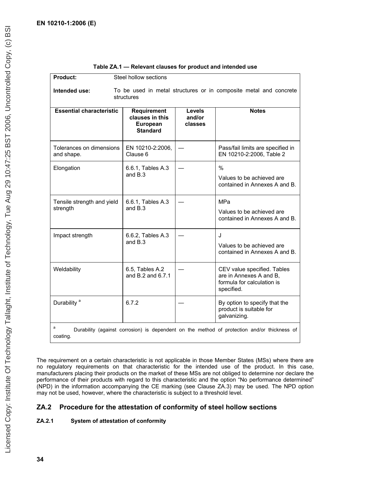| Product:                               | Steel hollow sections                                         |                                    |                                                                                                    |
|----------------------------------------|---------------------------------------------------------------|------------------------------------|----------------------------------------------------------------------------------------------------|
| Intended use:                          | structures                                                    |                                    | To be used in metal structures or in composite metal and concrete                                  |
| <b>Essential characteristic</b>        | Requirement<br>clauses in this<br>European<br><b>Standard</b> | <b>Levels</b><br>and/or<br>classes | <b>Notes</b>                                                                                       |
| Tolerances on dimensions<br>and shape. | EN 10210-2:2006,<br>Clause 6                                  |                                    | Pass/fail limits are specified in<br>EN 10210-2:2006, Table 2                                      |
| Elongation                             | 6.6.1, Tables A.3<br>and B.3                                  |                                    | $\frac{0}{0}$<br>Values to be achieved are<br>contained in Annexes A and B.                        |
| Tensile strength and yield<br>strength | 6.6.1, Tables A.3<br>and $B.3$                                |                                    | MPa<br>Values to be achieved are<br>contained in Annexes A and B.                                  |
| Impact strength                        | 6.6.2, Tables A.3<br>and $B.3$                                |                                    | $\mathbf{I}$ .<br>Values to be achieved are<br>contained in Annexes A and B.                       |
| Weldability                            | 6.5, Tables A.2<br>and B.2 and 6.7.1                          |                                    | CEV value specified. Tables<br>are in Annexes A and B,<br>formula for calculation is<br>specified. |
| Durability <sup>a</sup>                | 6.7.2                                                         |                                    | By option to specify that the<br>product is suitable for<br>galvanizing.                           |
| a<br>coating.                          |                                                               |                                    | Durability (against corrosion) is dependent on the method of protection and/or thickness of        |

### **Table ZA.1 — Relevant clauses for product and intended use**

The requirement on a certain characteristic is not applicable in those Member States (MSs) where there are no regulatory requirements on that characteristic for the intended use of the product. In this case, manufacturers placing their products on the market of these MSs are not obliged to determine nor declare the performance of their products with regard to this characteristic and the option "No performance determined" (NPD) in the information accompanying the CE marking (see Clause ZA.3) may be used. The NPD option may not be used, however, where the characteristic is subject to a threshold level.

### **ZA.2 Procedure for the attestation of conformity of steel hollow sections**

### **ZA.2.1 System of attestation of conformity**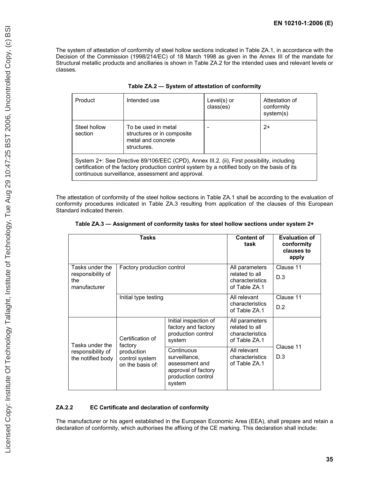The system of attestation of conformity of steel hollow sections indicated in Table ZA.1, in accordance with the Decision of the Commission (1998/214/EC) of 18 March 1998 as given in the Annex III of the mandate for Structural metallic products and ancillaries is shown in Table ZA.2 for the intended uses and relevant levels or classes.

| Product                 | Intended use                                                                                                                                                                                                                                     | Level $(s)$ or<br>class(es) | Attestation of<br>conformity<br>system(s) |
|-------------------------|--------------------------------------------------------------------------------------------------------------------------------------------------------------------------------------------------------------------------------------------------|-----------------------------|-------------------------------------------|
| Steel hollow<br>section | To be used in metal<br>structures or in composite<br>metal and concrete<br>structures.                                                                                                                                                           |                             | 2+                                        |
|                         | System 2+: See Directive 89/106/EEC (CPD), Annex III.2. (ii), First possibility, including<br>certification of the factory production control system by a notified body on the basis of its<br>continuous surveillance, assessment and approval. |                             |                                           |

The attestation of conformity of the steel hollow sections in Table ZA.1 shall be according to the evaluation of conformity procedures indicated in Table ZA.3 resulting from application of the clauses of this European Standard indicated therein.

| Table ZA.3 — Assignment of conformity tasks for steel hollow sections under system 2+ |  |  |
|---------------------------------------------------------------------------------------|--|--|
|---------------------------------------------------------------------------------------|--|--|

|                                                             | Tasks                                            |                                                                                                      | <b>Content of</b><br>task                                            | <b>Evaluation of</b><br>conformity<br>clauses to<br>apply |
|-------------------------------------------------------------|--------------------------------------------------|------------------------------------------------------------------------------------------------------|----------------------------------------------------------------------|-----------------------------------------------------------|
| Tasks under the<br>responsibility of<br>the<br>manufacturer | Factory production control                       |                                                                                                      | All parameters<br>related to all<br>characteristics<br>of Table ZA.1 | Clause 11<br>D.3                                          |
|                                                             | Initial type testing                             |                                                                                                      | All relevant<br>characteristics<br>of Table ZA.1                     | Clause 11<br>D.2                                          |
| Tasks under the                                             | Certification of<br>factory                      | Initial inspection of<br>factory and factory<br>production control<br>system                         | All parameters<br>related to all<br>characteristics<br>of Table ZA.1 |                                                           |
| responsibility of<br>the notified body                      | production<br>control system<br>on the basis of: | Continuous<br>surveillance,<br>assessment and<br>approval of factory<br>production control<br>system | All relevant<br>characteristics<br>of Table ZA.1                     | Clause 11<br>D.3                                          |

### **ZA.2.2 EC Certificate and declaration of conformity**

The manufacturer or his agent established in the European Economic Area (EEA), shall prepare and retain a declaration of conformity, which authorises the affixing of the CE marking. This declaration shall include: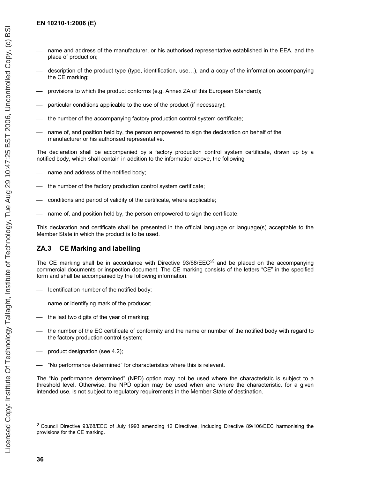- name and address of the manufacturer, or his authorised representative established in the EEA, and the place of production;
- description of the product type (type, identification, use…), and a copy of the information accompanying the CE marking;
- provisions to which the product conforms (e.g. Annex ZA of this European Standard);
- particular conditions applicable to the use of the product (if necessary);
- the number of the accompanying factory production control system certificate;
- name of, and position held by, the person empowered to sign the declaration on behalf of the manufacturer or his authorised representative.

The declaration shall be accompanied by a factory production control system certificate, drawn up by a notified body, which shall contain in addition to the information above, the following

- name and address of the notified body;
- the number of the factory production control system certificate;
- conditions and period of validity of the certificate, where applicable;
- name of, and position held by, the person empowered to sign the certificate.

This declaration and certificate shall be presented in the official language or language(s) acceptable to the Member State in which the product is to be used.

### **ZA.3 CE Marking and labelling**

The CE marking shall be in accordance with Directive  $93/68/EEC<sup>2</sup>$  and be placed on the accompanying commercial documents or inspection document. The CE marking consists of the letters "CE" in the specified form and shall be accompanied by the following information.

- Identification number of the notified body;
- name or identifying mark of the producer;
- the last two digits of the year of marking;
- the number of the EC certificate of conformity and the name or number of the notified body with regard to the factory production control system;
- product designation (see 4.2);
- "No performance determined" for characteristics where this is relevant.

The "No performance determined" (NPD) option may not be used where the characteristic is subject to a threshold level. Otherwise, the NPD option may be used when and where the characteristic, for a given intended use, is not subject to regulatory requirements in the Member State of destination.

 $\overline{a}$ 

<sup>&</sup>lt;sup>2</sup> Council Directive 93/68/EEC of July 1993 amending 12 Directives, including Directive 89/106/EEC harmonising the provisions for the CE marking.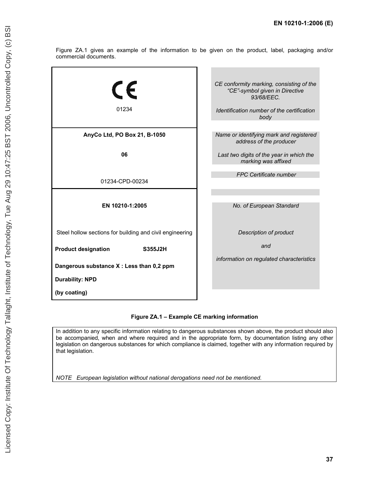Figure ZA.1 gives an example of the information to be given on the product, label, packaging and/or commercial documents.

| CE<br>01234                                              | CE conformity marking, consisting of the<br>"CE"-symbol given in Directive<br>93/68/EEC.<br>Identification number of the certification<br>body |
|----------------------------------------------------------|------------------------------------------------------------------------------------------------------------------------------------------------|
| AnyCo Ltd, PO Box 21, B-1050                             | Name or identifying mark and registered<br>address of the producer                                                                             |
| 06                                                       | Last two digits of the year in which the<br>marking was affixed                                                                                |
| 01234-CPD-00234                                          | FPC Certificate number                                                                                                                         |
| EN 10210-1:2005                                          | No. of European Standard                                                                                                                       |
| Steel hollow sections for building and civil engineering | <b>Description of product</b>                                                                                                                  |
| <b>Product designation</b><br><b>S355J2H</b>             | and                                                                                                                                            |
| Dangerous substance X: Less than 0,2 ppm                 | information on regulated characteristics                                                                                                       |
| <b>Durability: NPD</b>                                   |                                                                                                                                                |
| (by coating)                                             |                                                                                                                                                |

### **Figure ZA.1 – Example CE marking information**

In addition to any specific information relating to dangerous substances shown above, the product should also be accompanied, when and where required and in the appropriate form, by documentation listing any other legislation on dangerous substances for which compliance is claimed, together with any information required by that legislation.

*NOTE European legislation without national derogations need not be mentioned*.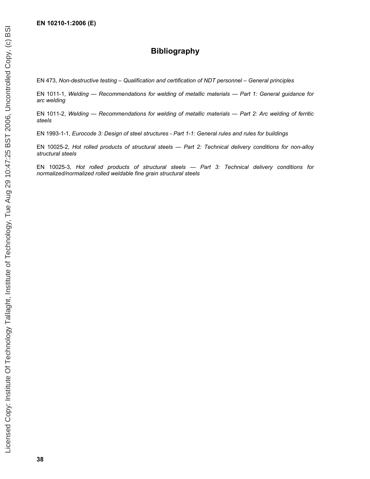### **Bibliography**

EN 473, *Non-destructive testing – Qualification and certification of NDT personnel – General principles*

EN 1011-1, *Welding — Recommendations for welding of metallic materials — Part 1: General guidance for arc welding* 

EN 1011-2, *Welding — Recommendations for welding of metallic materials — Part 2: Arc welding of ferritic steels* 

EN 1993-1-1, *Eurocode 3: Design of steel structures - Part 1-1: General rules and rules for buildings*

EN 10025-2, *Hot rolled products of structural steels — Part 2: Technical delivery conditions for non-alloy structural steels* 

EN 10025-3, *Hot rolled products of structural steels — Part 3: Technical delivery conditions for normalized/normalized rolled weldable fine grain structural steels*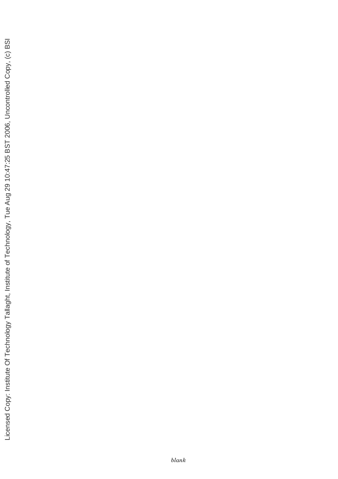Licensed Copy: Institute Of Technology Tallaght, Institute of Technology, Tue Aug 29 10:47:25 BST 2006, Uncontrolled Copy, (c) BSI Licensed Copy: Institute Of Technology Tallaght, Institute of Technology, Tue Aug 29 10:47:25 BST 2006, Uncontrolled Copy, (c) BSI